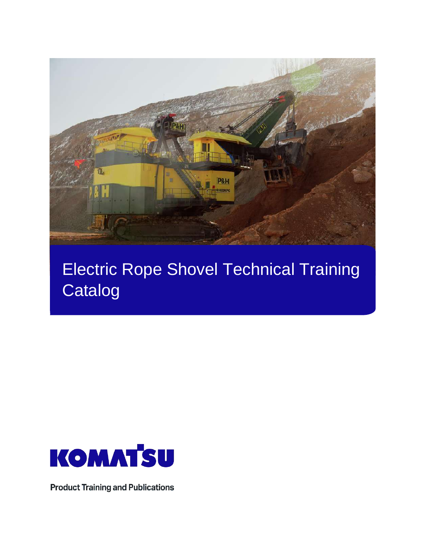

# Electric Rope Shovel Technical Training **Catalog**



**Product Training and Publications**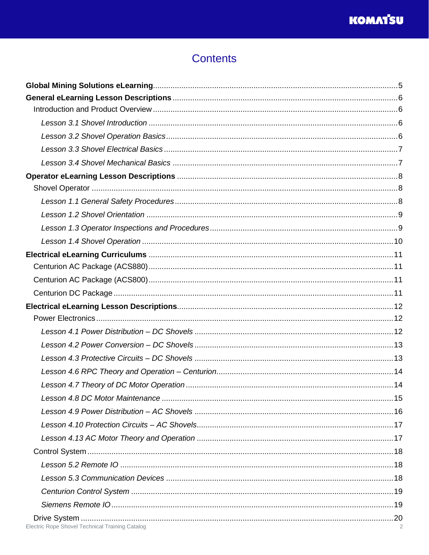## **Contents**

| Electric Rope Shovel Technical Training Catalog |  |
|-------------------------------------------------|--|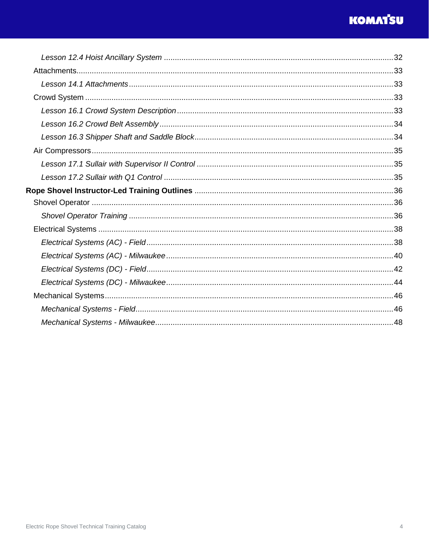## **KOMAT'SU**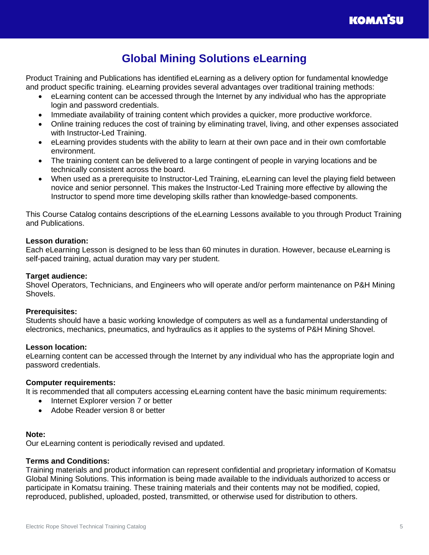

## **Global Mining Solutions eLearning**

<span id="page-4-0"></span>Product Training and Publications has identified eLearning as a delivery option for fundamental knowledge and product specific training. eLearning provides several advantages over traditional training methods:

- eLearning content can be accessed through the Internet by any individual who has the appropriate login and password credentials.
- Immediate availability of training content which provides a quicker, more productive workforce.
- Online training reduces the cost of training by eliminating travel, living, and other expenses associated with Instructor-Led Training.
- eLearning provides students with the ability to learn at their own pace and in their own comfortable environment.
- The training content can be delivered to a large contingent of people in varying locations and be technically consistent across the board.
- When used as a prerequisite to Instructor-Led Training, eLearning can level the playing field between novice and senior personnel. This makes the Instructor-Led Training more effective by allowing the Instructor to spend more time developing skills rather than knowledge-based components.

This Course Catalog contains descriptions of the eLearning Lessons available to you through Product Training and Publications.

#### **Lesson duration:**

Each eLearning Lesson is designed to be less than 60 minutes in duration. However, because eLearning is self-paced training, actual duration may vary per student.

#### **Target audience:**

Shovel Operators, Technicians, and Engineers who will operate and/or perform maintenance on P&H Mining Shovels.

#### **Prerequisites:**

Students should have a basic working knowledge of computers as well as a fundamental understanding of electronics, mechanics, pneumatics, and hydraulics as it applies to the systems of P&H Mining Shovel.

#### **Lesson location:**

eLearning content can be accessed through the Internet by any individual who has the appropriate login and password credentials.

#### **Computer requirements:**

It is recommended that all computers accessing eLearning content have the basic minimum requirements:

- Internet Explorer version 7 or better
- Adobe Reader version 8 or better

#### **Note:**

Our eLearning content is periodically revised and updated.

#### **Terms and Conditions:**

Training materials and product information can represent confidential and proprietary information of Komatsu Global Mining Solutions. This information is being made available to the individuals authorized to access or participate in Komatsu training. These training materials and their contents may not be modified, copied, reproduced, published, uploaded, posted, transmitted, or otherwise used for distribution to others.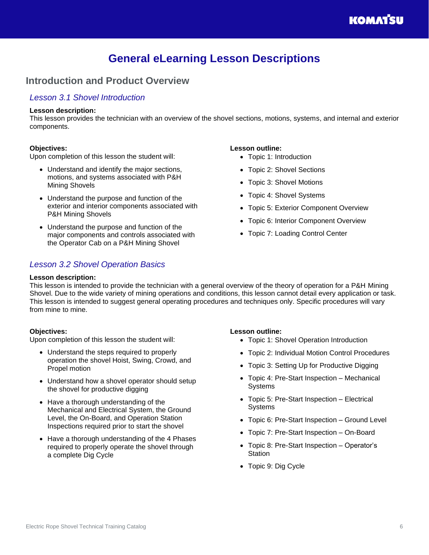## **General eLearning Lesson Descriptions**

## <span id="page-5-1"></span><span id="page-5-0"></span>**Introduction and Product Overview**

### <span id="page-5-2"></span>*Lesson 3.1 Shovel Introduction*

#### **Lesson description:**

This lesson provides the technician with an overview of the shovel sections, motions, systems, and internal and exterior components.

#### **Objectives:**

Upon completion of this lesson the student will:

- Understand and identify the major sections, motions, and systems associated with P&H Mining Shovels
- Understand the purpose and function of the exterior and interior components associated with P&H Mining Shovels
- Understand the purpose and function of the major components and controls associated with the Operator Cab on a P&H Mining Shovel

### <span id="page-5-3"></span>*Lesson 3.2 Shovel Operation Basics*

#### **Lesson outline:**

- Topic 1: Introduction
- Topic 2: Shovel Sections
- Topic 3: Shovel Motions
- Topic 4: Shovel Systems
- Topic 5: Exterior Component Overview
- Topic 6: Interior Component Overview
- Topic 7: Loading Control Center

#### **Lesson description:**

This lesson is intended to provide the technician with a general overview of the theory of operation for a P&H Mining Shovel. Due to the wide variety of mining operations and conditions, this lesson cannot detail every application or task. This lesson is intended to suggest general operating procedures and techniques only. Specific procedures will vary from mine to mine.

#### **Objectives:**

Upon completion of this lesson the student will:

- Understand the steps required to properly operation the shovel Hoist, Swing, Crowd, and Propel motion
- Understand how a shovel operator should setup the shovel for productive digging
- Have a thorough understanding of the Mechanical and Electrical System, the Ground Level, the On-Board, and Operation Station Inspections required prior to start the shovel
- Have a thorough understanding of the 4 Phases required to properly operate the shovel through a complete Dig Cycle

- Topic 1: Shovel Operation Introduction
- Topic 2: Individual Motion Control Procedures
- Topic 3: Setting Up for Productive Digging
- Topic 4: Pre-Start Inspection Mechanical Systems
- Topic 5: Pre-Start Inspection Electrical **Systems**
- Topic 6: Pre-Start Inspection Ground Level
- Topic 7: Pre-Start Inspection On-Board
- Topic 8: Pre-Start Inspection Operator's **Station**
- Topic 9: Dig Cycle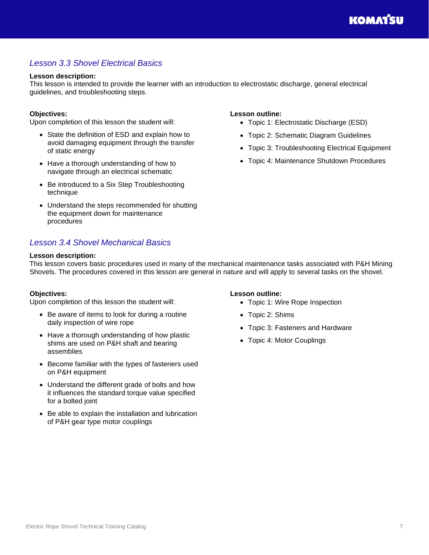## <span id="page-6-0"></span>*Lesson 3.3 Shovel Electrical Basics*

#### **Lesson description:**

This lesson is intended to provide the learner with an introduction to electrostatic discharge, general electrical guidelines, and troubleshooting steps.

#### **Objectives:**

Upon completion of this lesson the student will:

- State the definition of ESD and explain how to avoid damaging equipment through the transfer of static energy
- Have a thorough understanding of how to navigate through an electrical schematic
- Be introduced to a Six Step Troubleshooting technique
- Understand the steps recommended for shutting the equipment down for maintenance procedures

## <span id="page-6-1"></span>*Lesson 3.4 Shovel Mechanical Basics*

#### **Lesson description:**

This lesson covers basic procedures used in many of the mechanical maintenance tasks associated with P&H Mining Shovels. The procedures covered in this lesson are general in nature and will apply to several tasks on the shovel.

#### **Objectives:**

Upon completion of this lesson the student will:

- Be aware of items to look for during a routine daily inspection of wire rope
- Have a thorough understanding of how plastic shims are used on P&H shaft and bearing assemblies
- Become familiar with the types of fasteners used on P&H equipment
- Understand the different grade of bolts and how it influences the standard torque value specified for a bolted joint
- Be able to explain the installation and lubrication of P&H gear type motor couplings

#### **Lesson outline:**

**Lesson outline:**

- Topic 1: Wire Rope Inspection
- Topic 2: Shims
- Topic 3: Fasteners and Hardware

• Topic 1: Electrostatic Discharge (ESD) • Topic 2: Schematic Diagram Guidelines

• Topic 3: Troubleshooting Electrical Equipment • Topic 4: Maintenance Shutdown Procedures

• Topic 4: Motor Couplings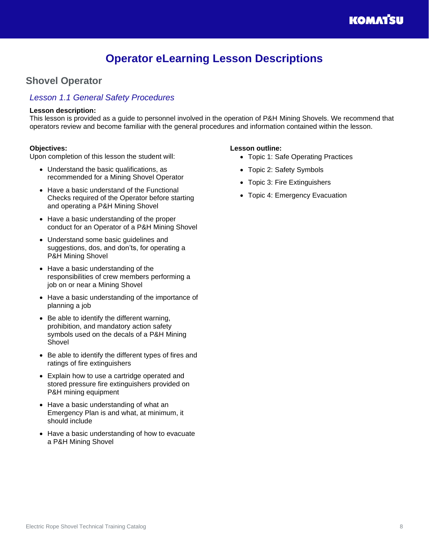## **Operator eLearning Lesson Descriptions**

## <span id="page-7-1"></span><span id="page-7-0"></span>**Shovel Operator**

### <span id="page-7-2"></span>*Lesson 1.1 General Safety Procedures*

#### **Lesson description:**

This lesson is provided as a guide to personnel involved in the operation of P&H Mining Shovels. We recommend that operators review and become familiar with the general procedures and information contained within the lesson.

#### **Objectives:**

Upon completion of this lesson the student will:

- Understand the basic qualifications, as recommended for a Mining Shovel Operator
- Have a basic understand of the Functional Checks required of the Operator before starting and operating a P&H Mining Shovel
- Have a basic understanding of the proper conduct for an Operator of a P&H Mining Shovel
- Understand some basic guidelines and suggestions, dos, and don'ts, for operating a P&H Mining Shovel
- Have a basic understanding of the responsibilities of crew members performing a job on or near a Mining Shovel
- Have a basic understanding of the importance of planning a job
- Be able to identify the different warning, prohibition, and mandatory action safety symbols used on the decals of a P&H Mining Shovel
- Be able to identify the different types of fires and ratings of fire extinguishers
- Explain how to use a cartridge operated and stored pressure fire extinguishers provided on P&H mining equipment
- Have a basic understanding of what an Emergency Plan is and what, at minimum, it should include
- Have a basic understanding of how to evacuate a P&H Mining Shovel

- Topic 1: Safe Operating Practices
- Topic 2: Safety Symbols
- Topic 3: Fire Extinguishers
- Topic 4: Emergency Evacuation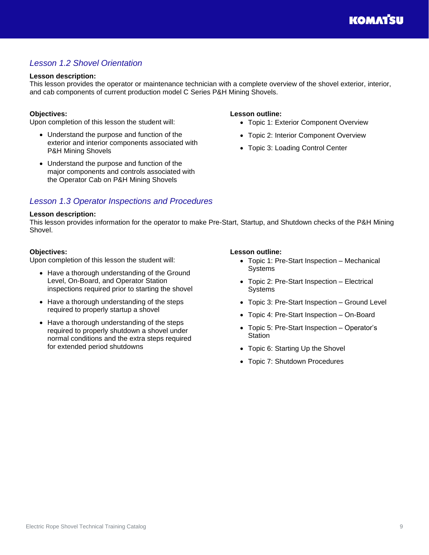## <span id="page-8-0"></span>*Lesson 1.2 Shovel Orientation*

#### **Lesson description:**

This lesson provides the operator or maintenance technician with a complete overview of the shovel exterior, interior, and cab components of current production model C Series P&H Mining Shovels.

#### **Objectives:**

Upon completion of this lesson the student will:

- Understand the purpose and function of the exterior and interior components associated with P&H Mining Shovels
- Understand the purpose and function of the major components and controls associated with the Operator Cab on P&H Mining Shovels

### <span id="page-8-1"></span>*Lesson 1.3 Operator Inspections and Procedures*

#### **Lesson description:**

This lesson provides information for the operator to make Pre-Start, Startup, and Shutdown checks of the P&H Mining Shovel.

#### **Objectives:**

Upon completion of this lesson the student will:

- Have a thorough understanding of the Ground Level, On-Board, and Operator Station inspections required prior to starting the shovel
- Have a thorough understanding of the steps required to properly startup a shovel
- Have a thorough understanding of the steps required to properly shutdown a shovel under normal conditions and the extra steps required for extended period shutdowns

#### **Lesson outline:** • Topic 1: Exterior Component Overview

- Topic 2: Interior Component Overview
- Topic 3: Loading Control Center

- **Lesson outline:**
	- Topic 1: Pre-Start Inspection Mechanical Systems
	- Topic 2: Pre-Start Inspection Electrical Systems
	- Topic 3: Pre-Start Inspection Ground Level
	- Topic 4: Pre-Start Inspection On-Board
	- Topic 5: Pre-Start Inspection Operator's **Station**
	- Topic 6: Starting Up the Shovel
	- Topic 7: Shutdown Procedures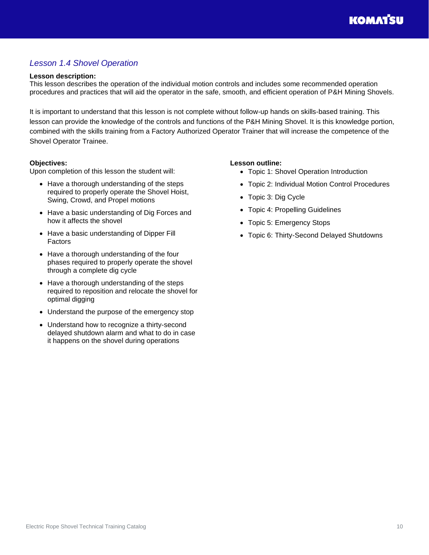## <span id="page-9-0"></span>*Lesson 1.4 Shovel Operation*

#### **Lesson description:**

This lesson describes the operation of the individual motion controls and includes some recommended operation procedures and practices that will aid the operator in the safe, smooth, and efficient operation of P&H Mining Shovels.

It is important to understand that this lesson is not complete without follow-up hands on skills-based training. This lesson can provide the knowledge of the controls and functions of the P&H Mining Shovel. It is this knowledge portion, combined with the skills training from a Factory Authorized Operator Trainer that will increase the competence of the Shovel Operator Trainee.

#### **Objectives:**

Upon completion of this lesson the student will:

- Have a thorough understanding of the steps required to properly operate the Shovel Hoist, Swing, Crowd, and Propel motions
- Have a basic understanding of Dig Forces and how it affects the shovel
- Have a basic understanding of Dipper Fill Factors
- Have a thorough understanding of the four phases required to properly operate the shovel through a complete dig cycle
- Have a thorough understanding of the steps required to reposition and relocate the shovel for optimal digging
- Understand the purpose of the emergency stop
- Understand how to recognize a thirty-second delayed shutdown alarm and what to do in case it happens on the shovel during operations

- Topic 1: Shovel Operation Introduction
- Topic 2: Individual Motion Control Procedures
- Topic 3: Dig Cycle
- Topic 4: Propelling Guidelines
- Topic 5: Emergency Stops
- Topic 6: Thirty-Second Delayed Shutdowns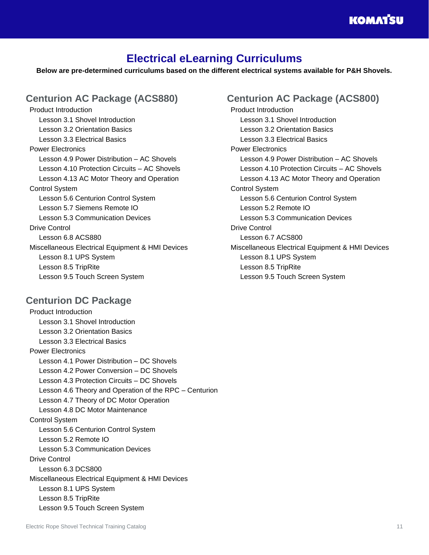## **KOMATSU**

## **Electrical eLearning Curriculums**

<span id="page-10-0"></span>**Below are pre-determined curriculums based on the different electrical systems available for P&H Shovels.**

## <span id="page-10-1"></span>**Centurion AC Package (ACS880)**

Product Introduction Lesson 3.1 Shovel Introduction Lesson 3.2 Orientation Basics Lesson 3.3 Electrical Basics Power Electronics Lesson 4.9 Power Distribution – AC Shovels Lesson 4.10 Protection Circuits – AC Shovels Lesson 4.13 AC Motor Theory and Operation Control System Lesson 5.6 Centurion Control System Lesson 5.7 Siemens Remote IO Lesson 5.3 Communication Devices Drive Control Lesson 6.8 ACS880 Miscellaneous Electrical Equipment & HMI Devices Lesson 8.1 UPS System Lesson 8.5 TripRite Lesson 9.5 Touch Screen System

## <span id="page-10-3"></span>**Centurion DC Package**

Product Introduction Lesson 3.1 Shovel Introduction Lesson 3.2 Orientation Basics Lesson 3.3 Electrical Basics Power Electronics Lesson 4.1 Power Distribution – DC Shovels Lesson 4.2 Power Conversion – DC Shovels Lesson 4.3 Protection Circuits – DC Shovels Lesson 4.6 Theory and Operation of the RPC – Centurion Lesson 4.7 Theory of DC Motor Operation Lesson 4.8 DC Motor Maintenance Control System Lesson 5.6 Centurion Control System Lesson 5.2 Remote IO Lesson 5.3 Communication Devices Drive Control Lesson 6.3 DCS800 Miscellaneous Electrical Equipment & HMI Devices Lesson 8.1 UPS System Lesson 8.5 TripRite Lesson 9.5 Touch Screen System

## <span id="page-10-2"></span>**Centurion AC Package (ACS800)**

Product Introduction Lesson 3.1 Shovel Introduction Lesson 3.2 Orientation Basics Lesson 3.3 Electrical Basics Power Electronics Lesson 4.9 Power Distribution – AC Shovels Lesson 4.10 Protection Circuits – AC Shovels Lesson 4.13 AC Motor Theory and Operation Control System Lesson 5.6 Centurion Control System Lesson 5.2 Remote IO Lesson 5.3 Communication Devices Drive Control Lesson 6.7 ACS800 Miscellaneous Electrical Equipment & HMI Devices Lesson 8.1 UPS System Lesson 8.5 TripRite Lesson 9.5 Touch Screen System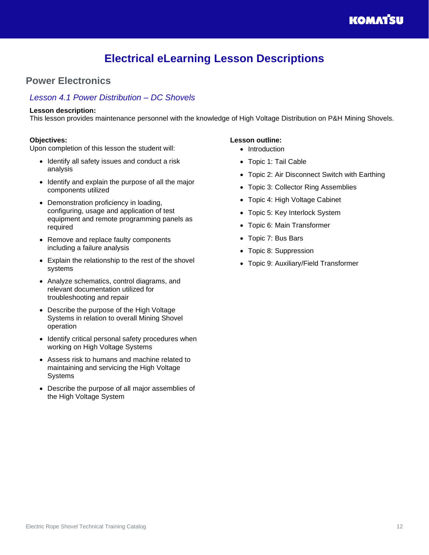## **Electrical eLearning Lesson Descriptions**

## <span id="page-11-1"></span><span id="page-11-0"></span>**Power Electronics**

### <span id="page-11-2"></span>*Lesson 4.1 Power Distribution – DC Shovels*

#### **Lesson description:**

This lesson provides maintenance personnel with the knowledge of High Voltage Distribution on P&H Mining Shovels.

#### **Objectives:**

Upon completion of this lesson the student will:

- Identify all safety issues and conduct a risk analysis
- Identify and explain the purpose of all the major components utilized
- Demonstration proficiency in loading, configuring, usage and application of test equipment and remote programming panels as required
- Remove and replace faulty components including a failure analysis
- Explain the relationship to the rest of the shovel systems
- Analyze schematics, control diagrams, and relevant documentation utilized for troubleshooting and repair
- Describe the purpose of the High Voltage Systems in relation to overall Mining Shovel operation
- Identify critical personal safety procedures when working on High Voltage Systems
- Assess risk to humans and machine related to maintaining and servicing the High Voltage **Systems**
- Describe the purpose of all major assemblies of the High Voltage System

- Introduction
- Topic 1: Tail Cable
- Topic 2: Air Disconnect Switch with Earthing
- Topic 3: Collector Ring Assemblies
- Topic 4: High Voltage Cabinet
- Topic 5: Key Interlock System
- Topic 6: Main Transformer
- Topic 7: Bus Bars
- Topic 8: Suppression
- Topic 9: Auxiliary/Field Transformer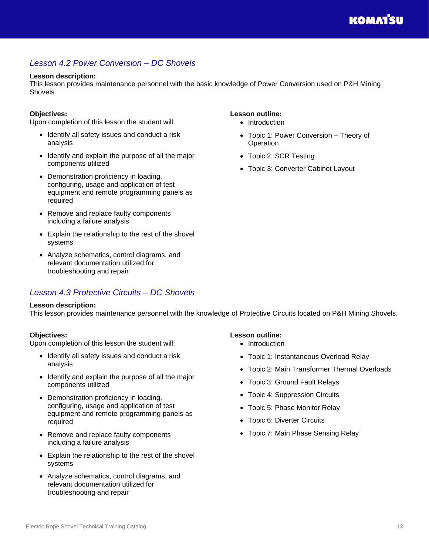## <span id="page-12-0"></span>*Lesson 4.2 Power Conversion – DC Shovels*

#### **Lesson description:**

This lesson provides maintenance personnel with the basic knowledge of Power Conversion used on P&H Mining Shovels.

#### **Objectives:**

Upon completion of this lesson the student will:

- Identify all safety issues and conduct a risk analysis
- Identify and explain the purpose of all the major components utilized
- Demonstration proficiency in loading, configuring, usage and application of test equipment and remote programming panels as required
- Remove and replace faulty components including a failure analysis
- Explain the relationship to the rest of the shovel systems
- Analyze schematics, control diagrams, and relevant documentation utilized for troubleshooting and repair

### <span id="page-12-1"></span>*Lesson 4.3 Protective Circuits – DC Shovels*

#### **Lesson description:**

This lesson provides maintenance personnel with the knowledge of Protective Circuits located on P&H Mining Shovels.

#### **Objectives:**

Upon completion of this lesson the student will:

- Identify all safety issues and conduct a risk analysis
- Identify and explain the purpose of all the major components utilized
- Demonstration proficiency in loading, configuring, usage and application of test equipment and remote programming panels as required
- Remove and replace faulty components including a failure analysis
- Explain the relationship to the rest of the shovel systems
- Analyze schematics, control diagrams, and relevant documentation utilized for troubleshooting and repair

#### • Topic 1: Power Conversion – Theory of **Operation**

**Lesson outline:** • Introduction

- Topic 2: SCR Testing
- Topic 3: Converter Cabinet Layout

- Introduction
- Topic 1: Instantaneous Overload Relay
- Topic 2: Main Transformer Thermal Overloads
- Topic 3: Ground Fault Relays
- Topic 4: Suppression Circuits
- Topic 5: Phase Monitor Relay
- Topic 6: Diverter Circuits
- Topic 7: Main Phase Sensing Relay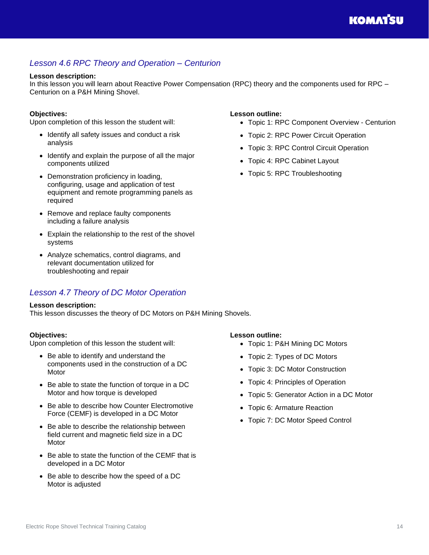## **KOMATSU**

## <span id="page-13-0"></span>*Lesson 4.6 RPC Theory and Operation – Centurion*

### **Lesson description:**

In this lesson you will learn about Reactive Power Compensation (RPC) theory and the components used for RPC – Centurion on a P&H Mining Shovel.

### **Objectives:**

Upon completion of this lesson the student will:

- Identify all safety issues and conduct a risk analysis
- Identify and explain the purpose of all the major components utilized
- Demonstration proficiency in loading, configuring, usage and application of test equipment and remote programming panels as required
- Remove and replace faulty components including a failure analysis
- Explain the relationship to the rest of the shovel systems
- Analyze schematics, control diagrams, and relevant documentation utilized for troubleshooting and repair

## <span id="page-13-1"></span>*Lesson 4.7 Theory of DC Motor Operation*

#### **Lesson description:**

This lesson discusses the theory of DC Motors on P&H Mining Shovels.

### **Objectives:**

Upon completion of this lesson the student will:

- Be able to identify and understand the components used in the construction of a DC Motor
- Be able to state the function of torque in a DC Motor and how torque is developed
- Be able to describe how Counter Electromotive Force (CEMF) is developed in a DC Motor
- Be able to describe the relationship between field current and magnetic field size in a DC Motor
- Be able to state the function of the CEMF that is developed in a DC Motor
- Be able to describe how the speed of a DC Motor is adjusted

### **Lesson outline:**

- Topic 1: RPC Component Overview Centurion
- Topic 2: RPC Power Circuit Operation
- Topic 3: RPC Control Circuit Operation
- Topic 4: RPC Cabinet Layout
- Topic 5: RPC Troubleshooting

- Topic 1: P&H Mining DC Motors
- Topic 2: Types of DC Motors
- Topic 3: DC Motor Construction
- Topic 4: Principles of Operation
- Topic 5: Generator Action in a DC Motor
- Topic 6: Armature Reaction
- Topic 7: DC Motor Speed Control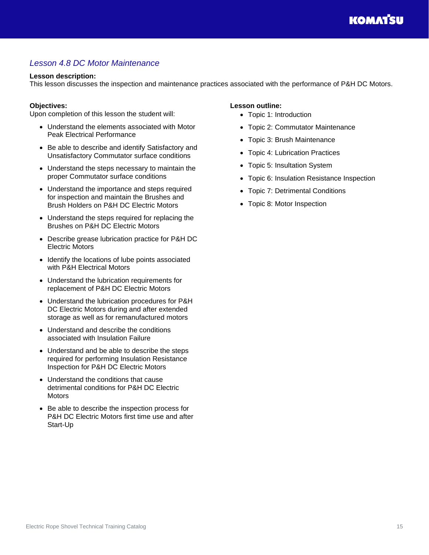## <span id="page-14-0"></span>*Lesson 4.8 DC Motor Maintenance*

#### **Lesson description:**

This lesson discusses the inspection and maintenance practices associated with the performance of P&H DC Motors.

#### **Objectives:**

Upon completion of this lesson the student will:

- Understand the elements associated with Motor Peak Electrical Performance
- Be able to describe and identify Satisfactory and Unsatisfactory Commutator surface conditions
- Understand the steps necessary to maintain the proper Commutator surface conditions
- Understand the importance and steps required for inspection and maintain the Brushes and Brush Holders on P&H DC Electric Motors
- Understand the steps required for replacing the Brushes on P&H DC Electric Motors
- Describe grease lubrication practice for P&H DC Electric Motors
- Identify the locations of lube points associated with P&H Electrical Motors
- Understand the lubrication requirements for replacement of P&H DC Electric Motors
- Understand the lubrication procedures for P&H DC Electric Motors during and after extended storage as well as for remanufactured motors
- Understand and describe the conditions associated with Insulation Failure
- Understand and be able to describe the steps required for performing Insulation Resistance Inspection for P&H DC Electric Motors
- Understand the conditions that cause detrimental conditions for P&H DC Electric **Motors**
- Be able to describe the inspection process for P&H DC Electric Motors first time use and after Start-Up

- Topic 1: Introduction
- Topic 2: Commutator Maintenance
- Topic 3: Brush Maintenance
- Topic 4: Lubrication Practices
- Topic 5: Insultation System
- Topic 6: Insulation Resistance Inspection
- Topic 7: Detrimental Conditions
- Topic 8: Motor Inspection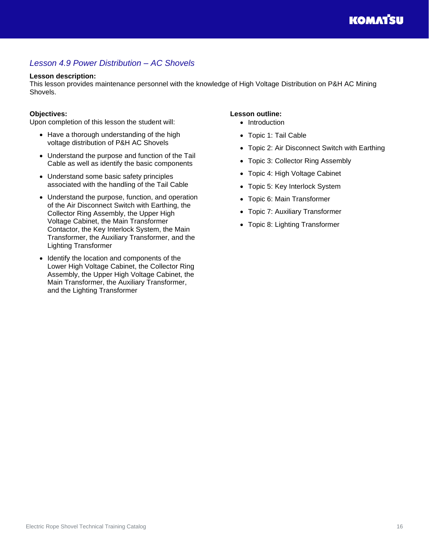## <span id="page-15-0"></span>*Lesson 4.9 Power Distribution – AC Shovels*

#### **Lesson description:**

This lesson provides maintenance personnel with the knowledge of High Voltage Distribution on P&H AC Mining Shovels.

#### **Objectives:**

Upon completion of this lesson the student will:

- Have a thorough understanding of the high voltage distribution of P&H AC Shovels
- Understand the purpose and function of the Tail Cable as well as identify the basic components
- Understand some basic safety principles associated with the handling of the Tail Cable
- Understand the purpose, function, and operation of the Air Disconnect Switch with Earthing, the Collector Ring Assembly, the Upper High Voltage Cabinet, the Main Transformer Contactor, the Key Interlock System, the Main Transformer, the Auxiliary Transformer, and the Lighting Transformer
- Identify the location and components of the Lower High Voltage Cabinet, the Collector Ring Assembly, the Upper High Voltage Cabinet, the Main Transformer, the Auxiliary Transformer, and the Lighting Transformer

- Introduction
- Topic 1: Tail Cable
- Topic 2: Air Disconnect Switch with Earthing
- Topic 3: Collector Ring Assembly
- Topic 4: High Voltage Cabinet
- Topic 5: Key Interlock System
- Topic 6: Main Transformer
- Topic 7: Auxiliary Transformer
- Topic 8: Lighting Transformer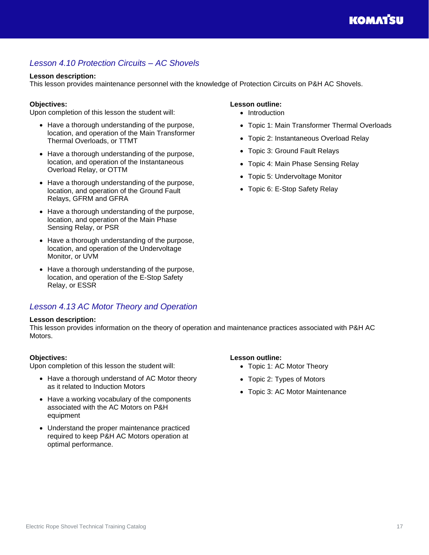## <span id="page-16-0"></span>*Lesson 4.10 Protection Circuits – AC Shovels*

#### **Lesson description:**

This lesson provides maintenance personnel with the knowledge of Protection Circuits on P&H AC Shovels.

#### **Objectives:**

Upon completion of this lesson the student will:

- Have a thorough understanding of the purpose, location, and operation of the Main Transformer Thermal Overloads, or TTMT
- Have a thorough understanding of the purpose, location, and operation of the Instantaneous Overload Relay, or OTTM
- Have a thorough understanding of the purpose, location, and operation of the Ground Fault Relays, GFRM and GFRA
- Have a thorough understanding of the purpose, location, and operation of the Main Phase Sensing Relay, or PSR
- Have a thorough understanding of the purpose, location, and operation of the Undervoltage Monitor, or UVM
- Have a thorough understanding of the purpose, location, and operation of the E-Stop Safety Relay, or ESSR

### <span id="page-16-1"></span>*Lesson 4.13 AC Motor Theory and Operation*

#### **Lesson description:**

This lesson provides information on the theory of operation and maintenance practices associated with P&H AC Motors.

#### **Objectives:**

Upon completion of this lesson the student will:

- Have a thorough understand of AC Motor theory as it related to Induction Motors
- Have a working vocabulary of the components associated with the AC Motors on P&H equipment
- Understand the proper maintenance practiced required to keep P&H AC Motors operation at optimal performance.

#### **Lesson outline:**

- Introduction
- Topic 1: Main Transformer Thermal Overloads
- Topic 2: Instantaneous Overload Relay
- Topic 3: Ground Fault Relays
- Topic 4: Main Phase Sensing Relay
- Topic 5: Undervoltage Monitor
- Topic 6: E-Stop Safety Relay

- Topic 1: AC Motor Theory
- Topic 2: Types of Motors
- Topic 3: AC Motor Maintenance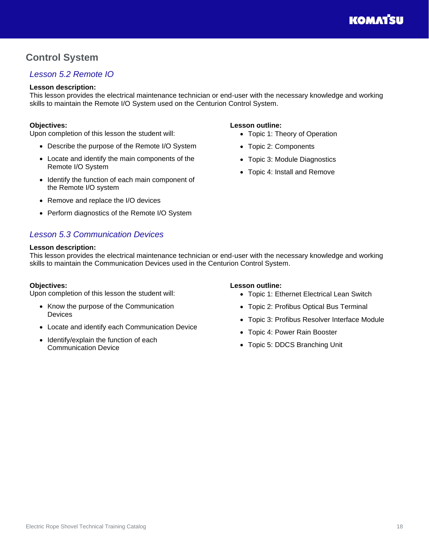## <span id="page-17-0"></span>**Control System**

## <span id="page-17-1"></span>*Lesson 5.2 Remote IO*

#### **Lesson description:**

This lesson provides the electrical maintenance technician or end-user with the necessary knowledge and working skills to maintain the Remote I/O System used on the Centurion Control System.

#### **Objectives:**

Upon completion of this lesson the student will:

- Describe the purpose of the Remote I/O System
- Locate and identify the main components of the Remote I/O System
- Identify the function of each main component of the Remote I/O system
- Remove and replace the I/O devices
- Perform diagnostics of the Remote I/O System

## <span id="page-17-2"></span>*Lesson 5.3 Communication Devices*

#### **Lesson description:**

#### **Lesson outline:**

- Topic 1: Theory of Operation
- Topic 2: Components
- Topic 3: Module Diagnostics
- Topic 4: Install and Remove

This lesson provides the electrical maintenance technician or end-user with the necessary knowledge and working skills to maintain the Communication Devices used in the Centurion Control System.

#### **Objectives:**

Upon completion of this lesson the student will:

- Know the purpose of the Communication Devices
- Locate and identify each Communication Device
- Identify/explain the function of each Communication Device

- Topic 1: Ethernet Electrical Lean Switch
- Topic 2: Profibus Optical Bus Terminal
- Topic 3: Profibus Resolver Interface Module
- Topic 4: Power Rain Booster
- Topic 5: DDCS Branching Unit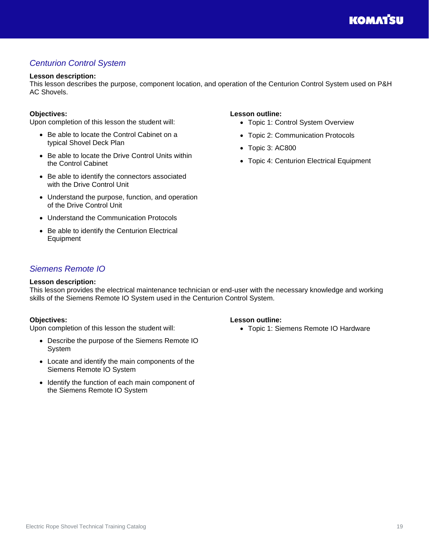## <span id="page-18-0"></span>*Centurion Control System*

#### **Lesson description:**

This lesson describes the purpose, component location, and operation of the Centurion Control System used on P&H AC Shovels.

#### **Objectives:**

Upon completion of this lesson the student will:

- Be able to locate the Control Cabinet on a typical Shovel Deck Plan
- Be able to locate the Drive Control Units within the Control Cabinet
- Be able to identify the connectors associated with the Drive Control Unit
- Understand the purpose, function, and operation of the Drive Control Unit
- Understand the Communication Protocols
- Be able to identify the Centurion Electrical Equipment

#### **Lesson outline:**

- Topic 1: Control System Overview
- Topic 2: Communication Protocols
- Topic 3: AC800
- Topic 4: Centurion Electrical Equipment

### <span id="page-18-1"></span>*Siemens Remote IO*

#### **Lesson description:**

This lesson provides the electrical maintenance technician or end-user with the necessary knowledge and working skills of the Siemens Remote IO System used in the Centurion Control System.

#### **Objectives:**

Upon completion of this lesson the student will:

- Describe the purpose of the Siemens Remote IO System
- Locate and identify the main components of the Siemens Remote IO System
- Identify the function of each main component of the Siemens Remote IO System

#### **Lesson outline:**

• Topic 1: Siemens Remote IO Hardware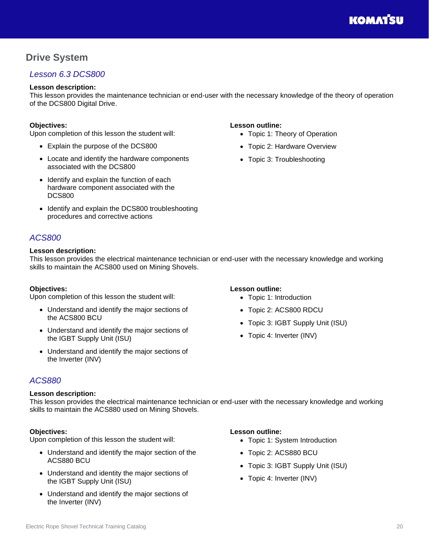## <span id="page-19-0"></span>**Drive System**

## <span id="page-19-1"></span>*Lesson 6.3 DCS800*

#### **Lesson description:**

This lesson provides the maintenance technician or end-user with the necessary knowledge of the theory of operation of the DCS800 Digital Drive.

#### **Objectives:**

Upon completion of this lesson the student will:

- Explain the purpose of the DCS800
- Locate and identify the hardware components associated with the DCS800
- Identify and explain the function of each hardware component associated with the DCS800
- Identify and explain the DCS800 troubleshooting procedures and corrective actions

## <span id="page-19-2"></span>*ACS800*

#### **Lesson description:**

This lesson provides the electrical maintenance technician or end-user with the necessary knowledge and working skills to maintain the ACS800 used on Mining Shovels.

#### **Objectives:**

Upon completion of this lesson the student will:

- Understand and identify the major sections of the ACS800 BCU
- Understand and identify the major sections of the IGBT Supply Unit (ISU)
- Understand and identify the major sections of the Inverter (INV)

#### **Lesson outline:**

**Lesson outline:**

• Topic 1: Theory of Operation • Topic 2: Hardware Overview • Topic 3: Troubleshooting

- Topic 1: Introduction
- Topic 2: ACS800 RDCU
- Topic 3: IGBT Supply Unit (ISU)
- Topic 4: Inverter (INV)

## <span id="page-19-3"></span>*ACS880*

#### **Lesson description:**

This lesson provides the electrical maintenance technician or end-user with the necessary knowledge and working skills to maintain the ACS880 used on Mining Shovels.

#### **Objectives:**

Upon completion of this lesson the student will:

- Understand and identify the major section of the ACS880 BCU
- Understand and identity the major sections of the IGBT Supply Unit (ISU)
- Understand and identify the major sections of the Inverter (INV)

- Topic 1: System Introduction
- Topic 2: ACS880 BCU
- Topic 3: IGBT Supply Unit (ISU)
- Topic 4: Inverter (INV)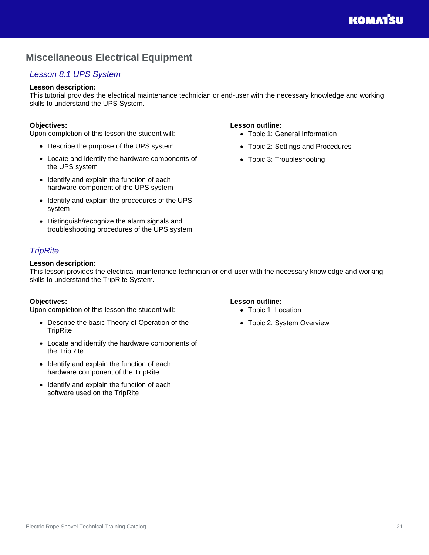## <span id="page-20-0"></span>**Miscellaneous Electrical Equipment**

## <span id="page-20-1"></span>*Lesson 8.1 UPS System*

#### **Lesson description:**

This tutorial provides the electrical maintenance technician or end-user with the necessary knowledge and working skills to understand the UPS System.

#### **Objectives:**

Upon completion of this lesson the student will:

- Describe the purpose of the UPS system
- Locate and identify the hardware components of the UPS system
- Identify and explain the function of each hardware component of the UPS system
- Identify and explain the procedures of the UPS system
- Distinguish/recognize the alarm signals and troubleshooting procedures of the UPS system

## <span id="page-20-2"></span>*TripRite*

#### **Lesson description:**

This lesson provides the electrical maintenance technician or end-user with the necessary knowledge and working skills to understand the TripRite System.

#### **Objectives:**

Upon completion of this lesson the student will:

- Describe the basic Theory of Operation of the **TripRite**
- Locate and identify the hardware components of the TripRite
- Identify and explain the function of each hardware component of the TripRite
- Identify and explain the function of each software used on the TripRite

- Topic 1: General Information
- Topic 2: Settings and Procedures
- Topic 3: Troubleshooting

- **Lesson outline:**
	- Topic 1: Location
	- Topic 2: System Overview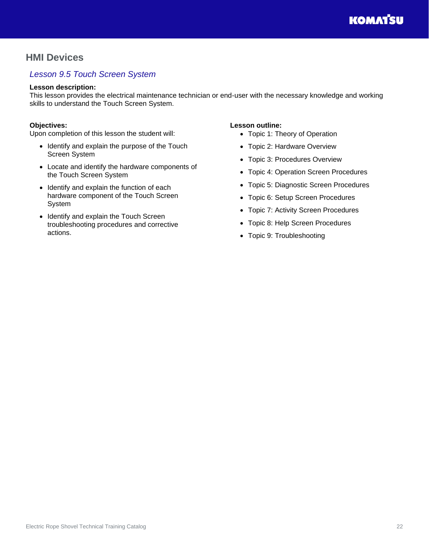## <span id="page-21-0"></span>**HMI Devices**

## <span id="page-21-1"></span>*Lesson 9.5 Touch Screen System*

#### **Lesson description:**

This lesson provides the electrical maintenance technician or end-user with the necessary knowledge and working skills to understand the Touch Screen System.

#### **Objectives:**

Upon completion of this lesson the student will:

- Identify and explain the purpose of the Touch Screen System
- Locate and identify the hardware components of the Touch Screen System
- Identify and explain the function of each hardware component of the Touch Screen System
- Identify and explain the Touch Screen troubleshooting procedures and corrective actions.

- Topic 1: Theory of Operation
- Topic 2: Hardware Overview
- Topic 3: Procedures Overview
- Topic 4: Operation Screen Procedures
- Topic 5: Diagnostic Screen Procedures
- Topic 6: Setup Screen Procedures
- Topic 7: Activity Screen Procedures
- Topic 8: Help Screen Procedures
- Topic 9: Troubleshooting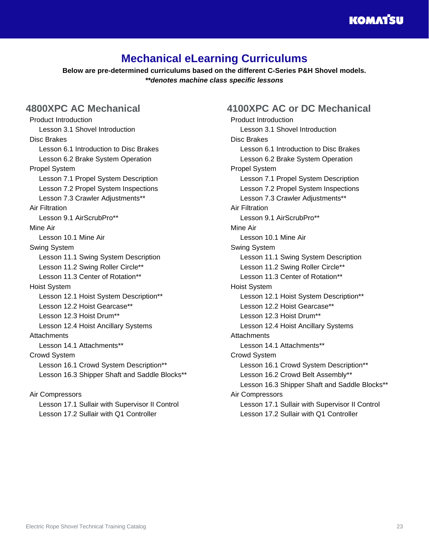## **Mechanical eLearning Curriculums**

<span id="page-22-0"></span>**Below are pre-determined curriculums based on the different C-Series P&H Shovel models.** *\*\*denotes machine class specific lessons*

## <span id="page-22-1"></span>**4800XPC AC Mechanical**

Product Introduction Lesson 3.1 Shovel Introduction Disc Brakes Lesson 6.1 Introduction to Disc Brakes Lesson 6.2 Brake System Operation Propel System Lesson 7.1 Propel System Description Lesson 7.2 Propel System Inspections Lesson 7.3 Crawler Adjustments\*\* Air Filtration Lesson 9.1 AirScrubPro\*\* Mine Air Lesson 10.1 Mine Air Swing System Lesson 11.1 Swing System Description Lesson 11.2 Swing Roller Circle\*\* Lesson 11.3 Center of Rotation\*\* Hoist System Lesson 12.1 Hoist System Description\*\* Lesson 12.2 Hoist Gearcase\*\* Lesson 12.3 Hoist Drum\*\* Lesson 12.4 Hoist Ancillary Systems **Attachments** Lesson 14.1 Attachments\*\* Crowd System Lesson 16.1 Crowd System Description\*\* Lesson 16.3 Shipper Shaft and Saddle Blocks\*\*

Air Compressors Lesson 17.1 Sullair with Supervisor II Control Lesson 17.2 Sullair with Q1 Controller

## <span id="page-22-2"></span>**4100XPC AC or DC Mechanical**

Product Introduction Lesson 3.1 Shovel Introduction Disc Brakes Lesson 6.1 Introduction to Disc Brakes Lesson 6.2 Brake System Operation Propel System Lesson 7.1 Propel System Description Lesson 7.2 Propel System Inspections Lesson 7.3 Crawler Adiustments\*\* Air Filtration Lesson 9.1 AirScrubPro\*\* Mine Air Lesson 10.1 Mine Air Swing System Lesson 11.1 Swing System Description Lesson 11.2 Swing Roller Circle\*\* Lesson 11.3 Center of Rotation\*\* Hoist System Lesson 12.1 Hoist System Description\*\* Lesson 12.2 Hoist Gearcase\*\* Lesson 12.3 Hoist Drum\*\* Lesson 12.4 Hoist Ancillary Systems **Attachments** Lesson 14.1 Attachments\*\* Crowd System Lesson 16.1 Crowd System Description\*\* Lesson 16.2 Crowd Belt Assembly\*\* Lesson 16.3 Shipper Shaft and Saddle Blocks\*\* Air Compressors Lesson 17.1 Sullair with Supervisor II Control Lesson 17.2 Sullair with Q1 Controller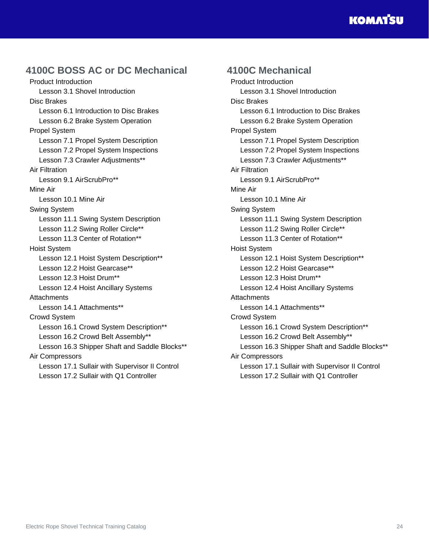## **KOMATSU**

## <span id="page-23-0"></span>**4100C BOSS AC or DC Mechanical**

Product Introduction Lesson 3.1 Shovel Introduction Disc Brakes Lesson 6.1 Introduction to Disc Brakes Lesson 6.2 Brake System Operation Propel System Lesson 7.1 Propel System Description Lesson 7.2 Propel System Inspections Lesson 7.3 Crawler Adjustments\*\* Air Filtration Lesson 9.1 AirScrubPro\*\* Mine Air Lesson 10.1 Mine Air Swing System Lesson 11.1 Swing System Description Lesson 11.2 Swing Roller Circle\*\* Lesson 11.3 Center of Rotation\*\* Hoist System Lesson 12.1 Hoist System Description\*\* Lesson 12.2 Hoist Gearcase\*\* Lesson 12.3 Hoist Drum\*\* Lesson 12.4 Hoist Ancillary Systems **Attachments** Lesson 14.1 Attachments\*\* Crowd System Lesson 16.1 Crowd System Description\*\* Lesson 16.2 Crowd Belt Assembly\*\* Lesson 16.3 Shipper Shaft and Saddle Blocks\*\* Air Compressors Lesson 17.1 Sullair with Supervisor II Control Lesson 17.2 Sullair with Q1 Controller

## <span id="page-23-1"></span>**4100C Mechanical**

Product Introduction Lesson 3.1 Shovel Introduction Disc Brakes Lesson 6.1 Introduction to Disc Brakes Lesson 6.2 Brake System Operation Propel System Lesson 7.1 Propel System Description Lesson 7.2 Propel System Inspections Lesson 7.3 Crawler Adjustments\*\* Air Filtration Lesson 9.1 AirScrubPro\*\* Mine Air Lesson 10.1 Mine Air Swing System Lesson 11.1 Swing System Description Lesson 11.2 Swing Roller Circle\*\* Lesson 11.3 Center of Rotation\*\* Hoist System Lesson 12.1 Hoist System Description\*\* Lesson 12.2 Hoist Gearcase\*\* Lesson 12.3 Hoist Drum\*\* Lesson 12.4 Hoist Ancillary Systems **Attachments** Lesson 14.1 Attachments\*\* Crowd System Lesson 16.1 Crowd System Description\*\* Lesson 16.2 Crowd Belt Assembly\*\* Lesson 16.3 Shipper Shaft and Saddle Blocks\*\* Air Compressors Lesson 17.1 Sullair with Supervisor II Control Lesson 17.2 Sullair with Q1 Controller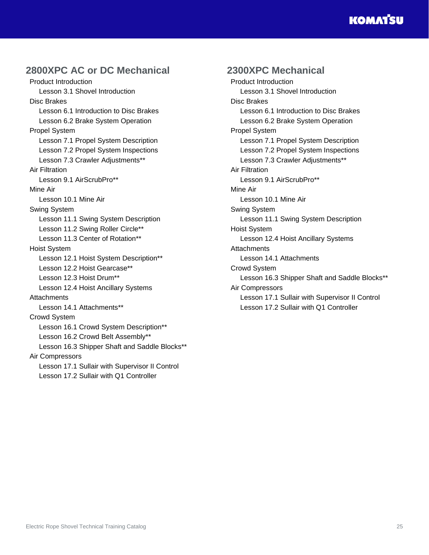## **KOMATSU**

## <span id="page-24-0"></span>**2800XPC AC or DC Mechanical**

Product Introduction Lesson 3.1 Shovel Introduction Disc Brakes Lesson 6.1 Introduction to Disc Brakes Lesson 6.2 Brake System Operation Propel System Lesson 7.1 Propel System Description Lesson 7.2 Propel System Inspections Lesson 7.3 Crawler Adjustments\*\* Air Filtration Lesson 9.1 AirScrubPro\*\* Mine Air Lesson 10.1 Mine Air Swing System Lesson 11.1 Swing System Description Lesson 11.2 Swing Roller Circle\*\* Lesson 11.3 Center of Rotation\*\* Hoist System Lesson 12.1 Hoist System Description\*\* Lesson 12.2 Hoist Gearcase\*\* Lesson 12.3 Hoist Drum\*\* Lesson 12.4 Hoist Ancillary Systems **Attachments** Lesson 14.1 Attachments\*\* Crowd System Lesson 16.1 Crowd System Description\*\* Lesson 16.2 Crowd Belt Assembly\*\* Lesson 16.3 Shipper Shaft and Saddle Blocks\*\* Air Compressors Lesson 17.1 Sullair with Supervisor II Control Lesson 17.2 Sullair with Q1 Controller

## <span id="page-24-1"></span>**2300XPC Mechanical**

Product Introduction Lesson 3.1 Shovel Introduction Disc Brakes Lesson 6.1 Introduction to Disc Brakes Lesson 6.2 Brake System Operation Propel System Lesson 7.1 Propel System Description Lesson 7.2 Propel System Inspections Lesson 7.3 Crawler Adjustments\*\* Air Filtration Lesson 9.1 AirScrubPro\*\* Mine Air Lesson 10.1 Mine Air Swing System Lesson 11.1 Swing System Description Hoist System Lesson 12.4 Hoist Ancillary Systems **Attachments** Lesson 14.1 Attachments Crowd System Lesson 16.3 Shipper Shaft and Saddle Blocks\*\* Air Compressors Lesson 17.1 Sullair with Supervisor II Control Lesson 17.2 Sullair with Q1 Controller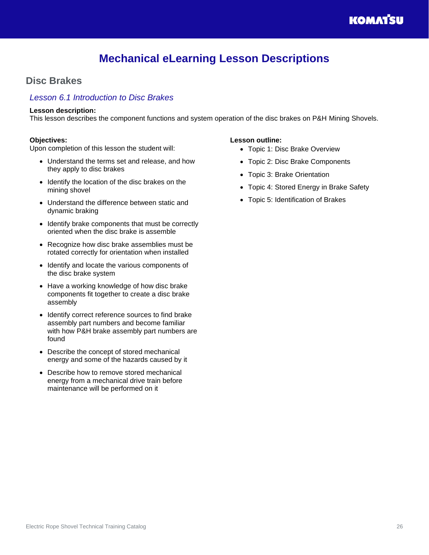## **Mechanical eLearning Lesson Descriptions**

## <span id="page-25-1"></span><span id="page-25-0"></span>**Disc Brakes**

### <span id="page-25-2"></span>*Lesson 6.1 Introduction to Disc Brakes*

#### **Lesson description:**

This lesson describes the component functions and system operation of the disc brakes on P&H Mining Shovels.

#### **Objectives:**

Upon completion of this lesson the student will:

- Understand the terms set and release, and how they apply to disc brakes
- Identify the location of the disc brakes on the mining shovel
- Understand the difference between static and dynamic braking
- Identify brake components that must be correctly oriented when the disc brake is assemble
- Recognize how disc brake assemblies must be rotated correctly for orientation when installed
- Identify and locate the various components of the disc brake system
- Have a working knowledge of how disc brake components fit together to create a disc brake assembly
- Identify correct reference sources to find brake assembly part numbers and become familiar with how P&H brake assembly part numbers are found
- Describe the concept of stored mechanical energy and some of the hazards caused by it
- Describe how to remove stored mechanical energy from a mechanical drive train before maintenance will be performed on it

- Topic 1: Disc Brake Overview
- Topic 2: Disc Brake Components
- Topic 3: Brake Orientation
- Topic 4: Stored Energy in Brake Safety
- Topic 5: Identification of Brakes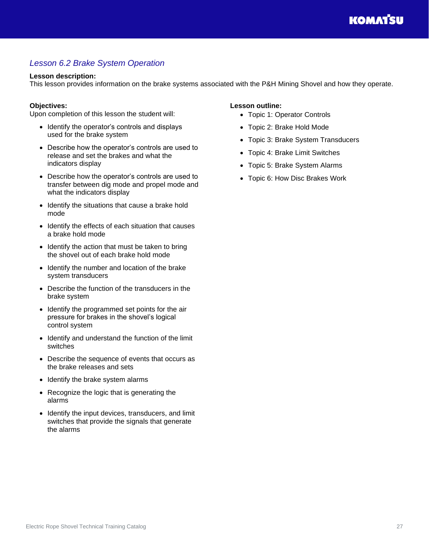## <span id="page-26-0"></span>*Lesson 6.2 Brake System Operation*

#### **Lesson description:**

This lesson provides information on the brake systems associated with the P&H Mining Shovel and how they operate.

#### **Objectives:**

Upon completion of this lesson the student will:

- Identify the operator's controls and displays used for the brake system
- Describe how the operator's controls are used to release and set the brakes and what the indicators display
- Describe how the operator's controls are used to transfer between dig mode and propel mode and what the indicators display
- Identify the situations that cause a brake hold mode
- Identify the effects of each situation that causes a brake hold mode
- Identify the action that must be taken to bring the shovel out of each brake hold mode
- Identify the number and location of the brake system transducers
- Describe the function of the transducers in the brake system
- Identify the programmed set points for the air pressure for brakes in the shovel's logical control system
- Identify and understand the function of the limit switches
- Describe the sequence of events that occurs as the brake releases and sets
- Identify the brake system alarms
- Recognize the logic that is generating the alarms
- Identify the input devices, transducers, and limit switches that provide the signals that generate the alarms

- Topic 1: Operator Controls
- Topic 2: Brake Hold Mode
- Topic 3: Brake System Transducers
- Topic 4: Brake Limit Switches
- Topic 5: Brake System Alarms
- Topic 6: How Disc Brakes Work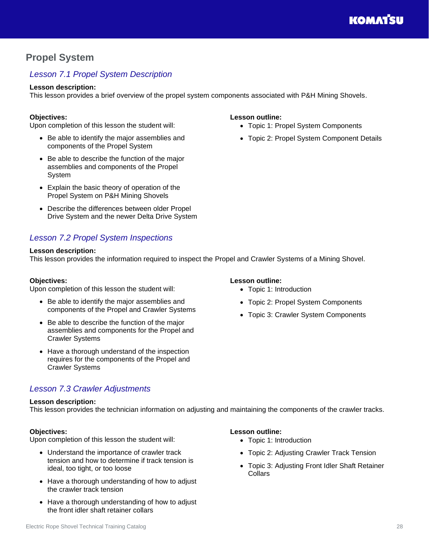## <span id="page-27-0"></span>**Propel System**

## <span id="page-27-1"></span>*Lesson 7.1 Propel System Description*

#### **Lesson description:**

This lesson provides a brief overview of the propel system components associated with P&H Mining Shovels.

#### **Objectives:**

Upon completion of this lesson the student will:

- Be able to identify the major assemblies and components of the Propel System
- Be able to describe the function of the major assemblies and components of the Propel System
- Explain the basic theory of operation of the Propel System on P&H Mining Shovels
- Describe the differences between older Propel Drive System and the newer Delta Drive System

## <span id="page-27-2"></span>*Lesson 7.2 Propel System Inspections*

#### **Lesson description:**

This lesson provides the information required to inspect the Propel and Crawler Systems of a Mining Shovel.

#### **Objectives:**

Upon completion of this lesson the student will:

- Be able to identify the major assemblies and components of the Propel and Crawler Systems
- Be able to describe the function of the major assemblies and components for the Propel and Crawler Systems
- Have a thorough understand of the inspection requires for the components of the Propel and Crawler Systems

### <span id="page-27-3"></span>*Lesson 7.3 Crawler Adjustments*

#### **Lesson description:**

This lesson provides the technician information on adjusting and maintaining the components of the crawler tracks.

#### **Objectives:**

Upon completion of this lesson the student will:

- Understand the importance of crawler track tension and how to determine if track tension is ideal, too tight, or too loose
- Have a thorough understanding of how to adjust the crawler track tension
- Have a thorough understanding of how to adjust the front idler shaft retainer collars

#### **Lesson outline:**

- Topic 1: Propel System Components
- Topic 2: Propel System Component Details

#### **Lesson outline:**

- Topic 1: Introduction
- Topic 2: Propel System Components
- Topic 3: Crawler System Components

- Topic 1: Introduction
- Topic 2: Adjusting Crawler Track Tension
- Topic 3: Adjusting Front Idler Shaft Retainer **Collars**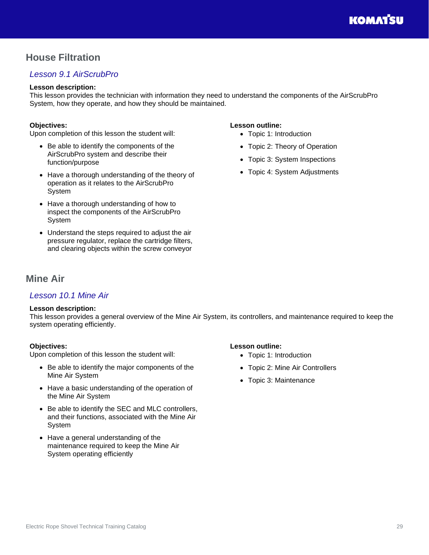## <span id="page-28-0"></span>**House Filtration**

## <span id="page-28-1"></span>*Lesson 9.1 AirScrubPro*

#### **Lesson description:**

This lesson provides the technician with information they need to understand the components of the AirScrubPro System, how they operate, and how they should be maintained.

#### **Objectives:**

Upon completion of this lesson the student will:

- Be able to identify the components of the AirScrubPro system and describe their function/purpose
- Have a thorough understanding of the theory of operation as it relates to the AirScrubPro System
- Have a thorough understanding of how to inspect the components of the AirScrubPro System
- Understand the steps required to adjust the air pressure regulator, replace the cartridge filters, and clearing objects within the screw conveyor

#### **Lesson outline:**

- Topic 1: Introduction
- Topic 2: Theory of Operation
- Topic 3: System Inspections
- Topic 4: System Adjustments

## <span id="page-28-2"></span>**Mine Air**

### <span id="page-28-3"></span>*Lesson 10.1 Mine Air*

#### **Lesson description:**

This lesson provides a general overview of the Mine Air System, its controllers, and maintenance required to keep the system operating efficiently.

#### **Objectives:**

Upon completion of this lesson the student will:

- Be able to identify the major components of the Mine Air System
- Have a basic understanding of the operation of the Mine Air System
- Be able to identify the SEC and MLC controllers, and their functions, associated with the Mine Air System
- Have a general understanding of the maintenance required to keep the Mine Air System operating efficiently

- Topic 1: Introduction
- Topic 2: Mine Air Controllers
- Topic 3: Maintenance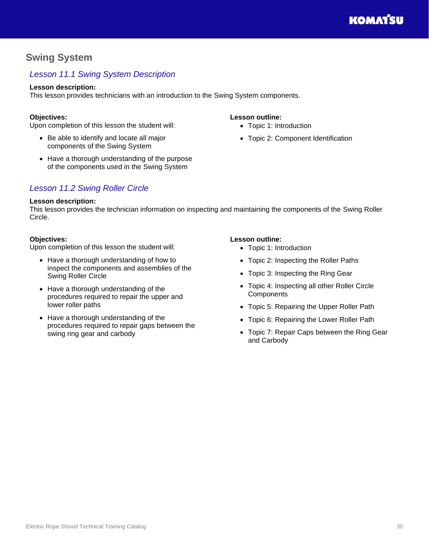## <span id="page-29-0"></span>**Swing System**

## <span id="page-29-1"></span>*Lesson 11.1 Swing System Description*

### **Lesson description:**

This lesson provides technicians with an introduction to the Swing System components.

## **Objectives:**

Upon completion of this lesson the student will:

- Be able to identify and locate all major components of the Swing System
- Have a thorough understanding of the purpose of the components used in the Swing System

## <span id="page-29-2"></span>*Lesson 11.2 Swing Roller Circle*

### **Lesson description:**

This lesson provides the technician information on inspecting and maintaining the components of the Swing Roller Circle.

#### **Objectives:**

Upon completion of this lesson the student will:

- Have a thorough understanding of how to inspect the components and assemblies of the Swing Roller Circle
- Have a thorough understanding of the procedures required to repair the upper and lower roller paths
- Have a thorough understanding of the procedures required to repair gaps between the swing ring gear and carbody
- **Lesson outline:** • Topic 1: Introduction
	-
	- Topic 2: Component Identification

- Topic 1: Introduction
- Topic 2: Inspecting the Roller Paths
- Topic 3: Inspecting the Ring Gear
- Topic 4: Inspecting all other Roller Circle **Components**
- Topic 5: Repairing the Upper Roller Path
- Topic 6: Repairing the Lower Roller Path
- Topic 7: Repair Caps between the Ring Gear and Carbody

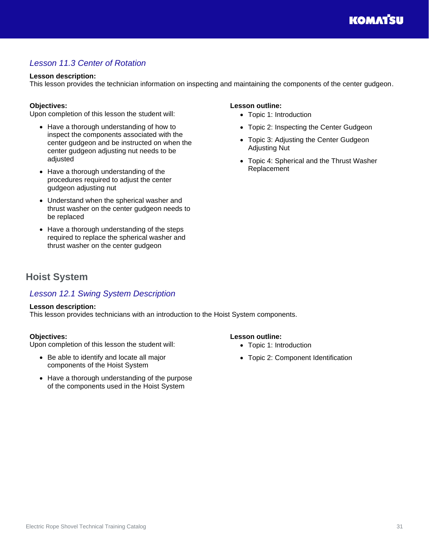## <span id="page-30-0"></span>*Lesson 11.3 Center of Rotation*

#### **Lesson description:**

This lesson provides the technician information on inspecting and maintaining the components of the center gudgeon.

#### **Objectives:**

Upon completion of this lesson the student will:

- Have a thorough understanding of how to inspect the components associated with the center gudgeon and be instructed on when the center gudgeon adjusting nut needs to be adjusted
- Have a thorough understanding of the procedures required to adjust the center gudgeon adjusting nut
- Understand when the spherical washer and thrust washer on the center gudgeon needs to be replaced
- Have a thorough understanding of the steps required to replace the spherical washer and thrust washer on the center gudgeon

#### **Lesson outline:**

- Topic 1: Introduction
- Topic 2: Inspecting the Center Gudgeon
- Topic 3: Adjusting the Center Gudgeon Adjusting Nut
- Topic 4: Spherical and the Thrust Washer Replacement

## <span id="page-30-1"></span>**Hoist System**

## <span id="page-30-2"></span>*Lesson 12.1 Swing System Description*

#### **Lesson description:**

This lesson provides technicians with an introduction to the Hoist System components.

#### **Objectives:**

Upon completion of this lesson the student will:

- Be able to identify and locate all major components of the Hoist System
- Have a thorough understanding of the purpose of the components used in the Hoist System

- Topic 1: Introduction
- Topic 2: Component Identification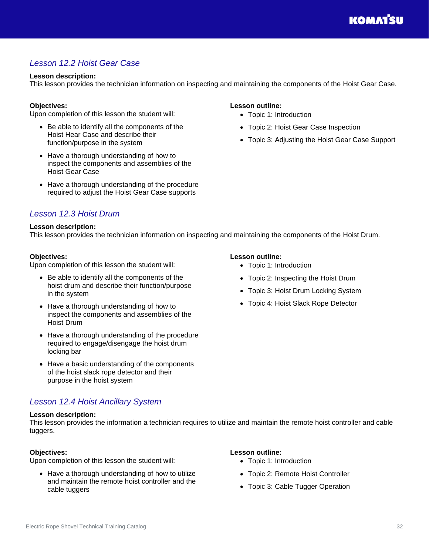## <span id="page-31-0"></span>*Lesson 12.2 Hoist Gear Case*

#### **Lesson description:**

This lesson provides the technician information on inspecting and maintaining the components of the Hoist Gear Case.

#### **Objectives:**

Upon completion of this lesson the student will:

- Be able to identify all the components of the Hoist Hear Case and describe their function/purpose in the system
- Have a thorough understanding of how to inspect the components and assemblies of the Hoist Gear Case
- Have a thorough understanding of the procedure required to adjust the Hoist Gear Case supports

### <span id="page-31-1"></span>*Lesson 12.3 Hoist Drum*

#### **Lesson description:**

This lesson provides the technician information on inspecting and maintaining the components of the Hoist Drum.

#### **Objectives:**

Upon completion of this lesson the student will:

- Be able to identify all the components of the hoist drum and describe their function/purpose in the system
- Have a thorough understanding of how to inspect the components and assemblies of the Hoist Drum
- Have a thorough understanding of the procedure required to engage/disengage the hoist drum locking bar
- Have a basic understanding of the components of the hoist slack rope detector and their purpose in the hoist system

### <span id="page-31-2"></span>*Lesson 12.4 Hoist Ancillary System*

#### **Lesson description:**

This lesson provides the information a technician requires to utilize and maintain the remote hoist controller and cable tuggers.

#### **Objectives:**

Upon completion of this lesson the student will:

• Have a thorough understanding of how to utilize and maintain the remote hoist controller and the cable tuggers

#### **Lesson outline:**

- Topic 1: Introduction
- Topic 2: Hoist Gear Case Inspection
- Topic 3: Adjusting the Hoist Gear Case Support

#### **Lesson outline:**

- Topic 1: Introduction
- Topic 2: Inspecting the Hoist Drum
- Topic 3: Hoist Drum Locking System
- Topic 4: Hoist Slack Rope Detector

- Topic 1: Introduction
- Topic 2: Remote Hoist Controller
- Topic 3: Cable Tugger Operation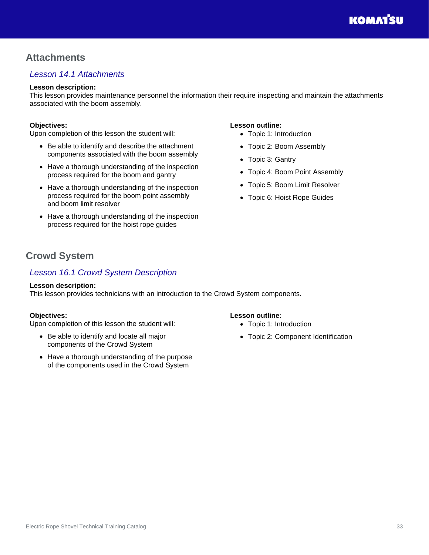## <span id="page-32-0"></span>**Attachments**

## <span id="page-32-1"></span>*Lesson 14.1 Attachments*

#### **Lesson description:**

This lesson provides maintenance personnel the information their require inspecting and maintain the attachments associated with the boom assembly.

#### **Objectives:**

Upon completion of this lesson the student will:

- Be able to identify and describe the attachment components associated with the boom assembly
- Have a thorough understanding of the inspection process required for the boom and gantry
- Have a thorough understanding of the inspection process required for the boom point assembly and boom limit resolver
- Have a thorough understanding of the inspection process required for the hoist rope guides

#### **Lesson outline:**

- Topic 1: Introduction
- Topic 2: Boom Assembly
- Topic 3: Gantry
- Topic 4: Boom Point Assembly
- Topic 5: Boom Limit Resolver
- Topic 6: Hoist Rope Guides

## <span id="page-32-2"></span>**Crowd System**

### <span id="page-32-3"></span>*Lesson 16.1 Crowd System Description*

#### **Lesson description:**

This lesson provides technicians with an introduction to the Crowd System components.

#### **Objectives:**

Upon completion of this lesson the student will:

- Be able to identify and locate all major components of the Crowd System
- Have a thorough understanding of the purpose of the components used in the Crowd System

- Topic 1: Introduction
- Topic 2: Component Identification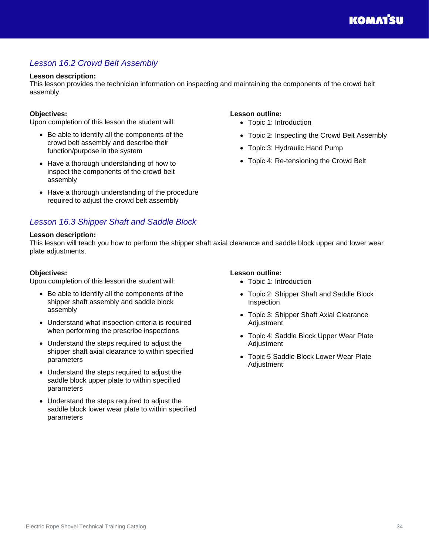## <span id="page-33-0"></span>*Lesson 16.2 Crowd Belt Assembly*

#### **Lesson description:**

This lesson provides the technician information on inspecting and maintaining the components of the crowd belt assembly.

#### **Objectives:**

Upon completion of this lesson the student will:

- Be able to identify all the components of the crowd belt assembly and describe their function/purpose in the system
- Have a thorough understanding of how to inspect the components of the crowd belt assembly
- Have a thorough understanding of the procedure required to adjust the crowd belt assembly

#### <span id="page-33-1"></span>*Lesson 16.3 Shipper Shaft and Saddle Block*

#### **Lesson description:**

This lesson will teach you how to perform the shipper shaft axial clearance and saddle block upper and lower wear plate adjustments.

#### **Objectives:**

Upon completion of this lesson the student will:

- Be able to identify all the components of the shipper shaft assembly and saddle block assembly
- Understand what inspection criteria is required when performing the prescribe inspections
- Understand the steps required to adjust the shipper shaft axial clearance to within specified parameters
- Understand the steps required to adjust the saddle block upper plate to within specified parameters
- Understand the steps required to adjust the saddle block lower wear plate to within specified parameters

#### **Lesson outline:**

**Lesson outline:**

• Topic 1: Introduction

• Topic 3: Hydraulic Hand Pump

• Topic 4: Re-tensioning the Crowd Belt

- Topic 1: Introduction
- Topic 2: Shipper Shaft and Saddle Block Inspection

• Topic 2: Inspecting the Crowd Belt Assembly

- Topic 3: Shipper Shaft Axial Clearance **Adjustment**
- Topic 4: Saddle Block Upper Wear Plate **Adjustment**
- Topic 5 Saddle Block Lower Wear Plate Adjustment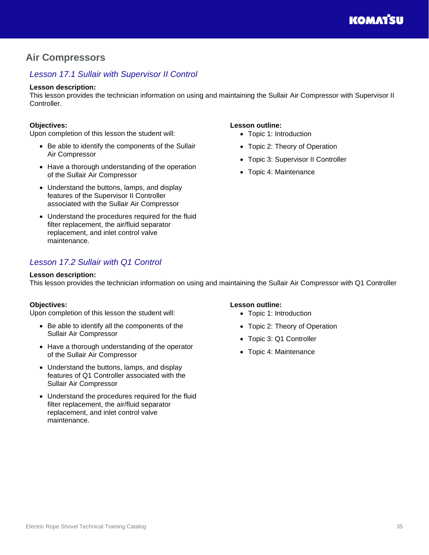## <span id="page-34-0"></span>**Air Compressors**

## <span id="page-34-1"></span>*Lesson 17.1 Sullair with Supervisor II Control*

#### **Lesson description:**

This lesson provides the technician information on using and maintaining the Sullair Air Compressor with Supervisor II Controller.

#### **Objectives:**

Upon completion of this lesson the student will:

- Be able to identify the components of the Sullair Air Compressor
- Have a thorough understanding of the operation of the Sullair Air Compressor
- Understand the buttons, lamps, and display features of the Supervisor II Controller associated with the Sullair Air Compressor
- Understand the procedures required for the fluid filter replacement, the air/fluid separator replacement, and inlet control valve maintenance.

## <span id="page-34-2"></span>*Lesson 17.2 Sullair with Q1 Control*

#### **Lesson description:**

This lesson provides the technician information on using and maintaining the Sullair Air Compressor with Q1 Controller

#### **Objectives:**

Upon completion of this lesson the student will:

- Be able to identify all the components of the Sullair Air Compressor
- Have a thorough understanding of the operator of the Sullair Air Compressor
- Understand the buttons, lamps, and display features of Q1 Controller associated with the Sullair Air Compressor
- Understand the procedures required for the fluid filter replacement, the air/fluid separator replacement, and inlet control valve maintenance.

## **Lesson outline:**

**Lesson outline:**

• Topic 1: Introduction

• Topic 4: Maintenance

• Topic 2: Theory of Operation • Topic 3: Supervisor II Controller

- Topic 1: Introduction
- Topic 2: Theory of Operation
- Topic 3: Q1 Controller
- Topic 4: Maintenance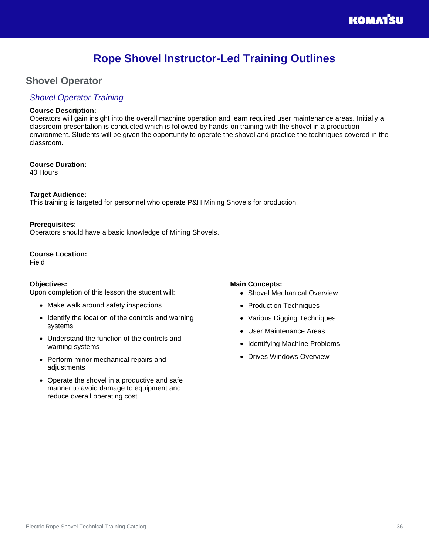## **Rope Shovel Instructor-Led Training Outlines**

## <span id="page-35-1"></span><span id="page-35-0"></span>**Shovel Operator**

### <span id="page-35-2"></span>*Shovel Operator Training*

#### **Course Description:**

Operators will gain insight into the overall machine operation and learn required user maintenance areas. Initially a classroom presentation is conducted which is followed by hands-on training with the shovel in a production environment. Students will be given the opportunity to operate the shovel and practice the techniques covered in the classroom.

**Course Duration:**  40 Hours

### **Target Audience:**

This training is targeted for personnel who operate P&H Mining Shovels for production.

#### **Prerequisites:**

Operators should have a basic knowledge of Mining Shovels.

#### **Course Location:**

Field

#### **Objectives:**

Upon completion of this lesson the student will:

- Make walk around safety inspections
- Identify the location of the controls and warning systems
- Understand the function of the controls and warning systems
- Perform minor mechanical repairs and adjustments
- Operate the shovel in a productive and safe manner to avoid damage to equipment and reduce overall operating cost

#### **Main Concepts:**

- Shovel Mechanical Overview
- Production Techniques
- Various Digging Techniques
- User Maintenance Areas
- Identifying Machine Problems
- Drives Windows Overview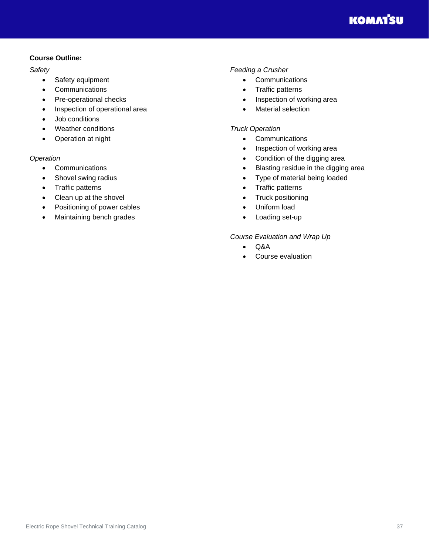#### **Course Outline:**

*Safety*

- Safety equipment
- Communications
- Pre-operational checks
- Inspection of operational area
- Job conditions
- Weather conditions
- Operation at night

#### *Operation*

- Communications
- Shovel swing radius
- Traffic patterns
- Clean up at the shovel
- Positioning of power cables
- Maintaining bench grades

#### *Feeding a Crusher*

- Communications
- Traffic patterns
- Inspection of working area
- Material selection

#### *Truck Operation*

- Communications
- Inspection of working area
- Condition of the digging area
- Blasting residue in the digging area
- Type of material being loaded
- Traffic patterns
- Truck positioning
- Uniform load
- Loading set-up

*Course Evaluation and Wrap Up*

- Q&A
- Course evaluation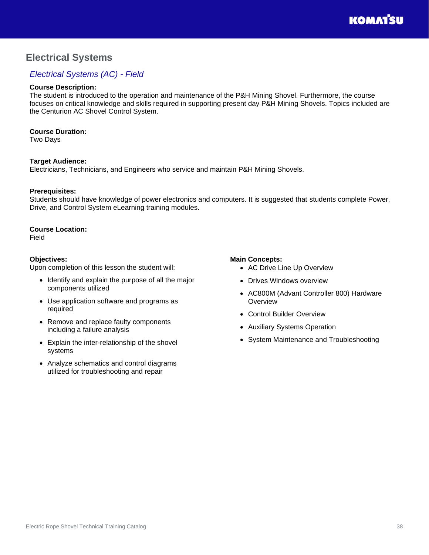## <span id="page-37-0"></span>**Electrical Systems**

## <span id="page-37-1"></span>*Electrical Systems (AC) - Field*

#### **Course Description:**

The student is introduced to the operation and maintenance of the P&H Mining Shovel. Furthermore, the course focuses on critical knowledge and skills required in supporting present day P&H Mining Shovels. Topics included are the Centurion AC Shovel Control System.

#### **Course Duration:**

Two Days

#### **Target Audience:**

Electricians, Technicians, and Engineers who service and maintain P&H Mining Shovels.

#### **Prerequisites:**

Students should have knowledge of power electronics and computers. It is suggested that students complete Power, Drive, and Control System eLearning training modules.

#### **Course Location:**

Field

#### **Objectives:**

Upon completion of this lesson the student will:

- Identify and explain the purpose of all the major components utilized
- Use application software and programs as required
- Remove and replace faulty components including a failure analysis
- Explain the inter-relationship of the shovel systems
- Analyze schematics and control diagrams utilized for troubleshooting and repair

#### **Main Concepts:**

- AC Drive Line Up Overview
- Drives Windows overview
- AC800M (Advant Controller 800) Hardware **Overview**
- Control Builder Overview
- Auxiliary Systems Operation
- System Maintenance and Troubleshooting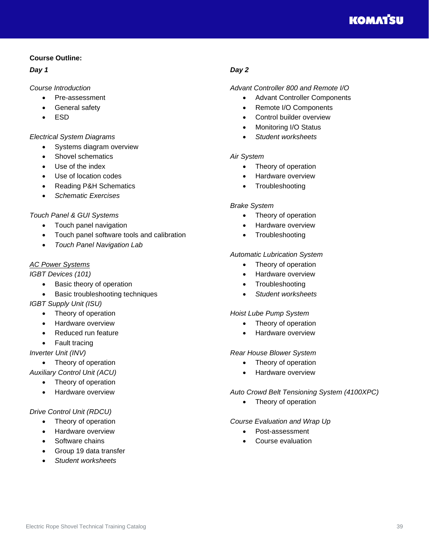## **KOMATSU**

#### **Course Outline:**

#### *Day 1*

#### *Course Introduction*

- Pre-assessment
- General safety
- ESD

#### *Electrical System Diagrams*

- Systems diagram overview
- Shovel schematics
- Use of the index
- Use of location codes
- Reading P&H Schematics
- *Schematic Exercises*

#### *Touch Panel & GUI Systems*

- Touch panel navigation
- Touch panel software tools and calibration
- *Touch Panel Navigation Lab*

#### *AC Power Systems*

*IGBT Devices (101)*

- Basic theory of operation
- Basic troubleshooting techniques
- *IGBT Supply Unit (ISU)*
	- Theory of operation
	- Hardware overview
	- Reduced run feature
	- Fault tracing

*Inverter Unit (INV)*

• Theory of operation

*Auxiliary Control Unit (ACU)*

- Theory of operation
- Hardware overview

#### *Drive Control Unit (RDCU)*

- Theory of operation
- Hardware overview
- Software chains
- Group 19 data transfer
- *Student worksheets*

#### *Day 2*

#### *Advant Controller 800 and Remote I/O*

- Advant Controller Components
- Remote I/O Components
- Control builder overview
- Monitoring I/O Status
- *Student worksheets*

#### *Air System*

- Theory of operation
- Hardware overview
- **Troubleshooting**

#### *Brake System*

- Theory of operation
- Hardware overview
- Troubleshooting

#### *Automatic Lubrication System*

- Theory of operation
- Hardware overview
- Troubleshooting
- *Student worksheets*

#### *Hoist Lube Pump System*

- Theory of operation
- Hardware overview

#### *Rear House Blower System*

- Theory of operation
- Hardware overview

#### *Auto Crowd Belt Tensioning System (4100XPC)*

• Theory of operation

#### *Course Evaluation and Wrap Up*

- Post-assessment
- Course evaluation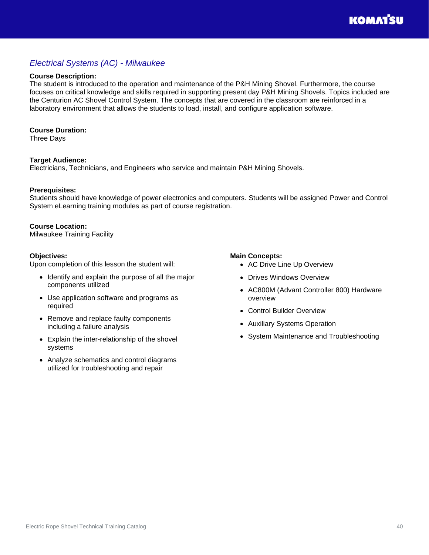## <span id="page-39-0"></span>*Electrical Systems (AC) - Milwaukee*

#### **Course Description:**

The student is introduced to the operation and maintenance of the P&H Mining Shovel. Furthermore, the course focuses on critical knowledge and skills required in supporting present day P&H Mining Shovels. Topics included are the Centurion AC Shovel Control System. The concepts that are covered in the classroom are reinforced in a laboratory environment that allows the students to load, install, and configure application software.

#### **Course Duration:**

Three Days

#### **Target Audience:**

Electricians, Technicians, and Engineers who service and maintain P&H Mining Shovels.

#### **Prerequisites:**

Students should have knowledge of power electronics and computers. Students will be assigned Power and Control System eLearning training modules as part of course registration.

#### **Course Location:**

Milwaukee Training Facility

#### **Objectives:**

Upon completion of this lesson the student will:

- Identify and explain the purpose of all the major components utilized
- Use application software and programs as required
- Remove and replace faulty components including a failure analysis
- Explain the inter-relationship of the shovel systems
- Analyze schematics and control diagrams utilized for troubleshooting and repair

#### **Main Concepts:**

- AC Drive Line Up Overview
- Drives Windows Overview
- AC800M (Advant Controller 800) Hardware overview
- Control Builder Overview
- Auxiliary Systems Operation
- System Maintenance and Troubleshooting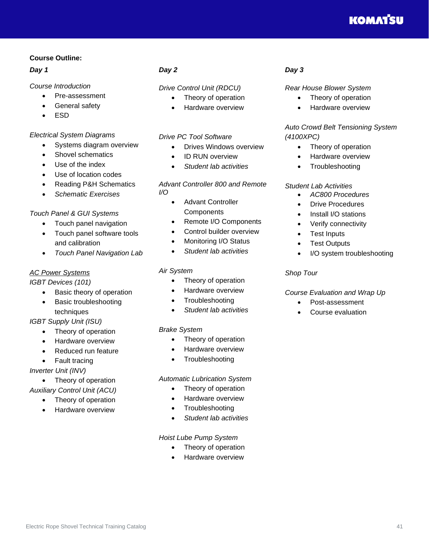## **KOMATSU**

#### **Course Outline:**

#### *Day 1*

#### *Course Introduction*

- Pre-assessment
- General safety
- ESD

#### *Electrical System Diagrams*

- Systems diagram overview
- Shovel schematics
- Use of the index
- Use of location codes
- Reading P&H Schematics
- *Schematic Exercises*

#### *Touch Panel & GUI Systems*

- Touch panel navigation
- Touch panel software tools and calibration
- *Touch Panel Navigation Lab*

#### *AC Power Systems*

#### *IGBT Devices (101)*

- Basic theory of operation
- Basic troubleshooting techniques

#### *IGBT Supply Unit (ISU)*

- Theory of operation
- Hardware overview
- Reduced run feature
- Fault tracing

#### *Inverter Unit (INV)*

- Theory of operation
- *Auxiliary Control Unit (ACU)*
	- Theory of operation
	- Hardware overview

#### *Day 2*

#### *Drive Control Unit (RDCU)*

- Theory of operation
	- Hardware overview

#### *Drive PC Tool Software*

- Drives Windows overview
- ID RUN overview
- *Student lab activities*

#### *Advant Controller 800 and Remote I/O*

- Advant Controller **Components**
- Remote I/O Components
- Control builder overview
- Monitoring I/O Status
- *Student lab activities*

#### *Air System*

- Theory of operation
- Hardware overview
- **Troubleshooting**
- *Student lab activities*

#### *Brake System*

- Theory of operation
- Hardware overview
- Troubleshooting

#### *Automatic Lubrication System*

- Theory of operation
- Hardware overview
- **Troubleshooting**
- *Student lab activities*

#### *Hoist Lube Pump System*

- Theory of operation
	- Hardware overview

#### *Day 3*

#### *Rear House Blower System*

- Theory of operation
- Hardware overview

### *Auto Crowd Belt Tensioning System (4100XPC)*

- Theory of operation
- Hardware overview
- **Troubleshooting**

### *Student Lab Activities*

- *AC800 Procedures*
- Drive Procedures
- Install I/O stations
- Verify connectivity
- Test Inputs
- Test Outputs
- I/O system troubleshooting

#### *Shop Tour*

#### *Course Evaluation and Wrap Up*

- Post-assessment
- Course evaluation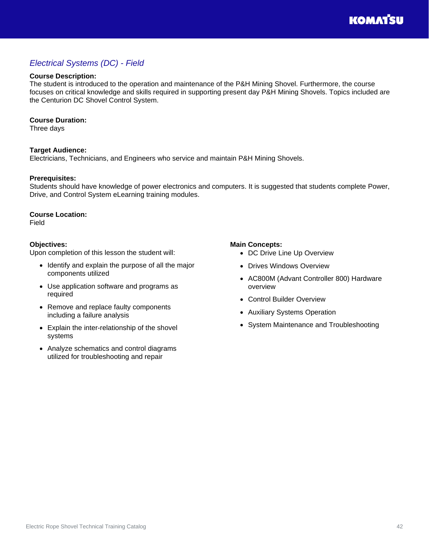## <span id="page-41-0"></span>*Electrical Systems (DC) - Field*

#### **Course Description:**

The student is introduced to the operation and maintenance of the P&H Mining Shovel. Furthermore, the course focuses on critical knowledge and skills required in supporting present day P&H Mining Shovels. Topics included are the Centurion DC Shovel Control System.

#### **Course Duration:**

Three days

#### **Target Audience:**

Electricians, Technicians, and Engineers who service and maintain P&H Mining Shovels.

#### **Prerequisites:**

Students should have knowledge of power electronics and computers. It is suggested that students complete Power, Drive, and Control System eLearning training modules.

#### **Course Location:**

Field

#### **Objectives:**

Upon completion of this lesson the student will:

- Identify and explain the purpose of all the major components utilized
- Use application software and programs as required
- Remove and replace faulty components including a failure analysis
- Explain the inter-relationship of the shovel systems
- Analyze schematics and control diagrams utilized for troubleshooting and repair

#### **Main Concepts:**

- DC Drive Line Up Overview
- Drives Windows Overview
- AC800M (Advant Controller 800) Hardware overview
- Control Builder Overview
- Auxiliary Systems Operation
- System Maintenance and Troubleshooting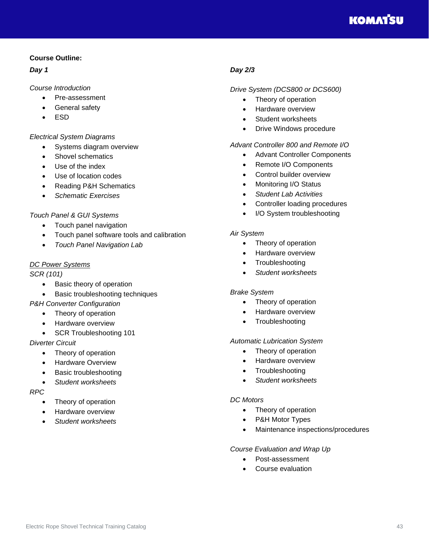

#### **Course Outline:**

#### *Day 1*

#### *Course Introduction*

- Pre-assessment
- General safety
- ESD

#### *Electrical System Diagrams*

- Systems diagram overview
- Shovel schematics
- Use of the index
- Use of location codes
- Reading P&H Schematics
- *Schematic Exercises*

#### *Touch Panel & GUI Systems*

- Touch panel navigation
- Touch panel software tools and calibration
- *Touch Panel Navigation Lab*

#### *DC Power Systems*

#### *SCR (101)*

- Basic theory of operation
- Basic troubleshooting techniques

#### *P&H Converter Configuration*

- Theory of operation
- Hardware overview
- SCR Troubleshooting 101

#### *Diverter Circuit*

- Theory of operation
- Hardware Overview
- Basic troubleshooting
- *Student worksheets*

#### *RPC*

- Theory of operation
- Hardware overview
- *Student worksheets*

#### *Day 2/3*

#### *Drive System (DCS800 or DCS600)*

- Theory of operation
- Hardware overview
- Student worksheets
- Drive Windows procedure

#### *Advant Controller 800 and Remote I/O*

- Advant Controller Components
- Remote I/O Components
- Control builder overview
- Monitoring I/O Status
- *Student Lab Activities*
- Controller loading procedures
- I/O System troubleshooting

#### *Air System*

- Theory of operation
- Hardware overview
- **Troubleshooting**
- *Student worksheets*

#### *Brake System*

- Theory of operation
- Hardware overview
- Troubleshooting

#### *Automatic Lubrication System*

- Theory of operation
- Hardware overview
- Troubleshooting
- *Student worksheets*

#### *DC Motors*

- Theory of operation
- P&H Motor Types
- Maintenance inspections/procedures

#### *Course Evaluation and Wrap Up*

- Post-assessment
- Course evaluation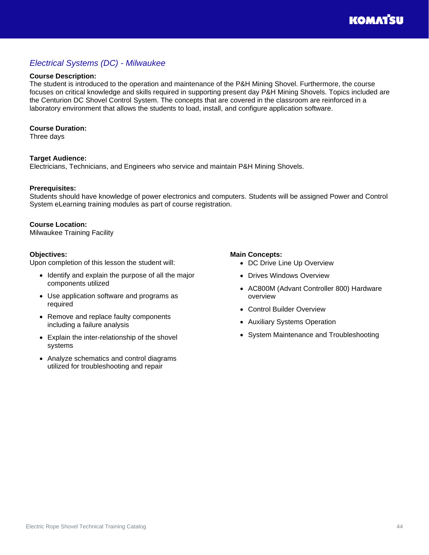## <span id="page-43-0"></span>*Electrical Systems (DC) - Milwaukee*

#### **Course Description:**

The student is introduced to the operation and maintenance of the P&H Mining Shovel. Furthermore, the course focuses on critical knowledge and skills required in supporting present day P&H Mining Shovels. Topics included are the Centurion DC Shovel Control System. The concepts that are covered in the classroom are reinforced in a laboratory environment that allows the students to load, install, and configure application software.

#### **Course Duration:**

Three days

#### **Target Audience:**

Electricians, Technicians, and Engineers who service and maintain P&H Mining Shovels.

#### **Prerequisites:**

Students should have knowledge of power electronics and computers. Students will be assigned Power and Control System eLearning training modules as part of course registration.

#### **Course Location:**

Milwaukee Training Facility

#### **Objectives:**

Upon completion of this lesson the student will:

- Identify and explain the purpose of all the major components utilized
- Use application software and programs as required
- Remove and replace faulty components including a failure analysis
- Explain the inter-relationship of the shovel systems
- Analyze schematics and control diagrams utilized for troubleshooting and repair

#### **Main Concepts:**

- DC Drive Line Up Overview
- Drives Windows Overview
- AC800M (Advant Controller 800) Hardware overview
- Control Builder Overview
- Auxiliary Systems Operation
- System Maintenance and Troubleshooting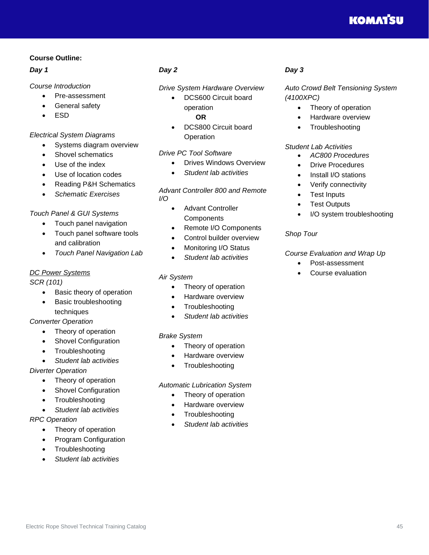## **KOMATSU**

#### **Course Outline:**

#### *Day 1*

#### *Course Introduction*

- Pre-assessment
- General safety
- ESD

#### *Electrical System Diagrams*

- Systems diagram overview
- Shovel schematics
- Use of the index
- Use of location codes
- Reading P&H Schematics
- *Schematic Exercises*

#### *Touch Panel & GUI Systems*

- Touch panel navigation
- Touch panel software tools and calibration
- *Touch Panel Navigation Lab*

#### *DC Power Systems*

#### *SCR (101)*

- Basic theory of operation
- Basic troubleshooting techniques

#### *Converter Operation*

- Theory of operation
- Shovel Configuration
- Troubleshooting
- *Student lab activities*

#### *Diverter Operation*

- Theory of operation
- Shovel Configuration
- Troubleshooting
- *Student lab activities*

#### *RPC Operation*

- Theory of operation
- Program Configuration
- Troubleshooting
- *Student lab activities*

#### *Day 2*

#### *Drive System Hardware Overview*

- DCS600 Circuit board operation  **OR**
- DCS800 Circuit board **Operation**

#### *Drive PC Tool Software*

- Drives Windows Overview
- *Student lab activities*

#### *Advant Controller 800 and Remote I/O*

- Advant Controller **Components**
- Remote I/O Components
- Control builder overview
- Monitoring I/O Status
- *Student lab activities*

#### *Air System*

- Theory of operation
- Hardware overview
- **Troubleshooting**
- *Student lab activities*

#### *Brake System*

- Theory of operation
- Hardware overview
- Troubleshooting

#### *Automatic Lubrication System*

- Theory of operation
- Hardware overview
- **Troubleshooting**
- *Student lab activities*

#### *Day 3*

*Auto Crowd Belt Tensioning System (4100XPC)*

- Theory of operation
- Hardware overview
- **Troubleshooting**

#### *Student Lab Activities*

- *AC800 Procedures*
- **Drive Procedures**
- Install I/O stations
- Verify connectivity
- **Test Inputs**
- Test Outputs
- I/O system troubleshooting

#### *Shop Tour*

#### *Course Evaluation and Wrap Up*

- Post-assessment
- Course evaluation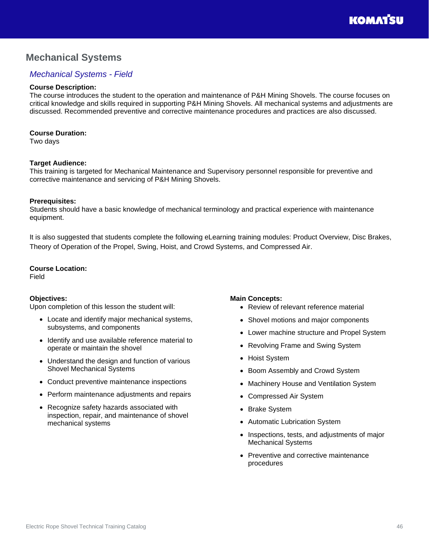## <span id="page-45-0"></span>**Mechanical Systems**

## <span id="page-45-1"></span>*Mechanical Systems - Field*

#### **Course Description:**

The course introduces the student to the operation and maintenance of P&H Mining Shovels. The course focuses on critical knowledge and skills required in supporting P&H Mining Shovels. All mechanical systems and adjustments are discussed. Recommended preventive and corrective maintenance procedures and practices are also discussed.

#### **Course Duration:**

Two days

#### **Target Audience:**

This training is targeted for Mechanical Maintenance and Supervisory personnel responsible for preventive and corrective maintenance and servicing of P&H Mining Shovels.

#### **Prerequisites:**

Students should have a basic knowledge of mechanical terminology and practical experience with maintenance equipment.

It is also suggested that students complete the following eLearning training modules: Product Overview, Disc Brakes, Theory of Operation of the Propel, Swing, Hoist, and Crowd Systems, and Compressed Air.

#### **Course Location:**

Field

#### **Objectives:**

Upon completion of this lesson the student will:

- Locate and identify major mechanical systems, subsystems, and components
- Identify and use available reference material to operate or maintain the shovel
- Understand the design and function of various Shovel Mechanical Systems
- Conduct preventive maintenance inspections
- Perform maintenance adjustments and repairs
- Recognize safety hazards associated with inspection, repair, and maintenance of shovel mechanical systems

#### **Main Concepts:**

- Review of relevant reference material
- Shovel motions and major components
- Lower machine structure and Propel System
- Revolving Frame and Swing System
- Hoist System
- Boom Assembly and Crowd System
- Machinery House and Ventilation System
- Compressed Air System
- Brake System
- Automatic Lubrication System
- Inspections, tests, and adjustments of major Mechanical Systems
- Preventive and corrective maintenance procedures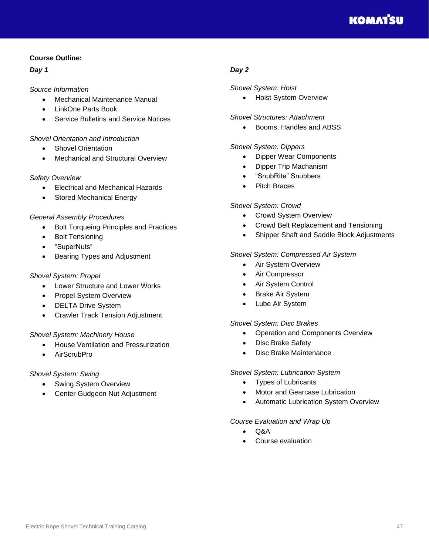#### **Course Outline:**

#### *Day 1*

#### *Source Information*

- Mechanical Maintenance Manual
- LinkOne Parts Book
- Service Bulletins and Service Notices

#### *Shovel Orientation and Introduction*

- Shovel Orientation
- Mechanical and Structural Overview

#### *Safety Overview*

- Electrical and Mechanical Hazards
- Stored Mechanical Energy

#### *General Assembly Procedures*

- Bolt Torqueing Principles and Practices
- **Bolt Tensioning**
- "SuperNuts"
- Bearing Types and Adjustment

#### *Shovel System: Propel*

- Lower Structure and Lower Works
- Propel System Overview
- DELTA Drive System
- Crawler Track Tension Adjustment

#### *Shovel System: Machinery House*

- House Ventilation and Pressurization
- AirScrubPro

#### *Shovel System: Swing*

- Swing System Overview
- Center Gudgeon Nut Adjustment

#### *Day 2*

#### *Shovel System: Hoist*

• Hoist System Overview

#### *Shovel Structures: Attachment*

• Booms, Handles and ABSS

#### *Shovel System: Dippers*

- Dipper Wear Components
- Dipper Trip Machanism
- "SnubRite" Snubbers
- Pitch Braces

#### *Shovel System: Crowd*

- Crowd System Overview
- Crowd Belt Replacement and Tensioning
- Shipper Shaft and Saddle Block Adjustments

#### *Shovel System: Compressed Air System*

- Air System Overview
- Air Compressor
- Air System Control
- **Brake Air System**
- Lube Air System

#### *Shovel System: Disc Brakes*

- Operation and Components Overview
- Disc Brake Safety
- Disc Brake Maintenance

#### *Shovel System: Lubrication System*

- Types of Lubricants
- Motor and Gearcase Lubrication
- Automatic Lubrication System Overview

#### *Course Evaluation and Wrap Up*

- Q&A
- Course evaluation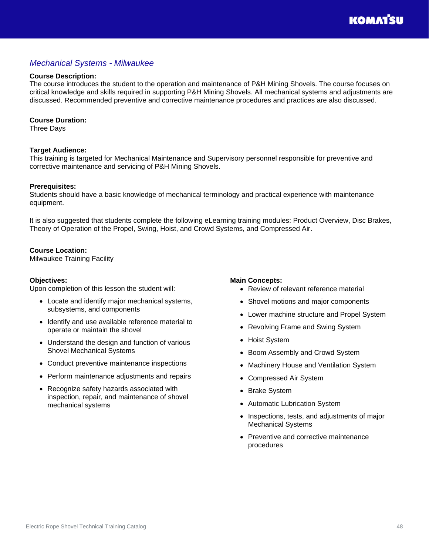### <span id="page-47-0"></span>*Mechanical Systems - Milwaukee*

#### **Course Description:**

The course introduces the student to the operation and maintenance of P&H Mining Shovels. The course focuses on critical knowledge and skills required in supporting P&H Mining Shovels. All mechanical systems and adjustments are discussed. Recommended preventive and corrective maintenance procedures and practices are also discussed.

#### **Course Duration:**

Three Days

#### **Target Audience:**

This training is targeted for Mechanical Maintenance and Supervisory personnel responsible for preventive and corrective maintenance and servicing of P&H Mining Shovels.

#### **Prerequisites:**

Students should have a basic knowledge of mechanical terminology and practical experience with maintenance equipment.

It is also suggested that students complete the following eLearning training modules: Product Overview, Disc Brakes, Theory of Operation of the Propel, Swing, Hoist, and Crowd Systems, and Compressed Air.

#### **Course Location:**

Milwaukee Training Facility

#### **Objectives:**

Upon completion of this lesson the student will:

- Locate and identify major mechanical systems, subsystems, and components
- Identify and use available reference material to operate or maintain the shovel
- Understand the design and function of various Shovel Mechanical Systems
- Conduct preventive maintenance inspections
- Perform maintenance adjustments and repairs
- Recognize safety hazards associated with inspection, repair, and maintenance of shovel mechanical systems

#### **Main Concepts:**

- Review of relevant reference material
- Shovel motions and major components
- Lower machine structure and Propel System
- Revolving Frame and Swing System
- Hoist System
- Boom Assembly and Crowd System
- Machinery House and Ventilation System
- Compressed Air System
- Brake System
- Automatic Lubrication System
- Inspections, tests, and adjustments of major Mechanical Systems
- Preventive and corrective maintenance procedures